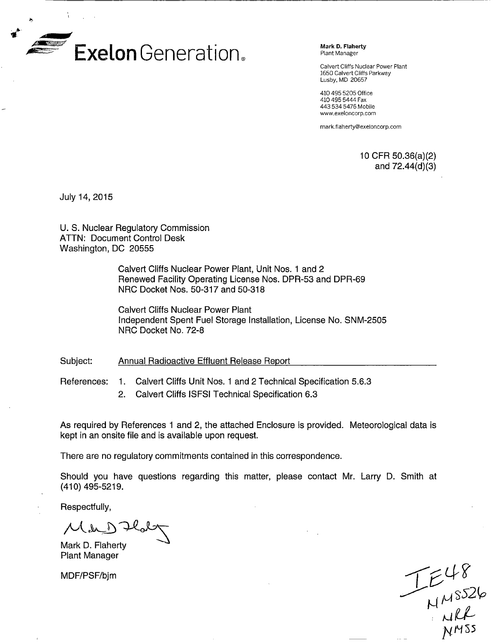

Calvert Cliffs Nuclear Power Plant 1650 Calvert Cliffs Parkway Lusby, MD 20657

410 495 5205 Office 410 495 5444 Fax 443 534 5476 Mobile www.exeloncorp.com

mark~fiaherty@exeloncorp.com

10 CFR 50.36(a)(2)<br>and 72.44(d)(3)

July 14, 2015

U. S. Nuclear Regulatory Commission ATTN: Document Control Desk Washington, DC 20555

> Calvert Cliffs Nuclear Power Plant, Unit Nos. 1 and 2 Renewed Facility Operating License Nos. DPR-53 and DPR-69 NRC Docket Nos. 50-317 and 50-318

Calvert Cliffs Nuclear Power Plant Independent Spent Fuel Storage Installation, License No. SNM-2505 NRC Docket No. 72-8

Subject: Annual Radioactive Effluent Release Report

References:

- 1. Calvert Cliffs Unit Nos. 1 and 2 Technical Specification 5.6.3
- 2. Calvert Cliffs ISFSI Technical Specification 6.3

As required by References 1 and 2, the attached Enclosure is provided. Meteorological data is kept in an onsite file and is available upon request.

There are no regulatory commitments contained in this correspondence.

Should you have questions regarding this matter, please contact Mr. Larry D. Smith at (410) 495-5219.

Respectfully,

 $L(A_{\text{max}})$ 

Mark D. Flaherty Plant Manager

MDF/PSF/bjm

 $T_{\text{MMS2b}}^{\text{L48}}$ <br> $T_{\text{MMS2b}}^{\text{L48}}$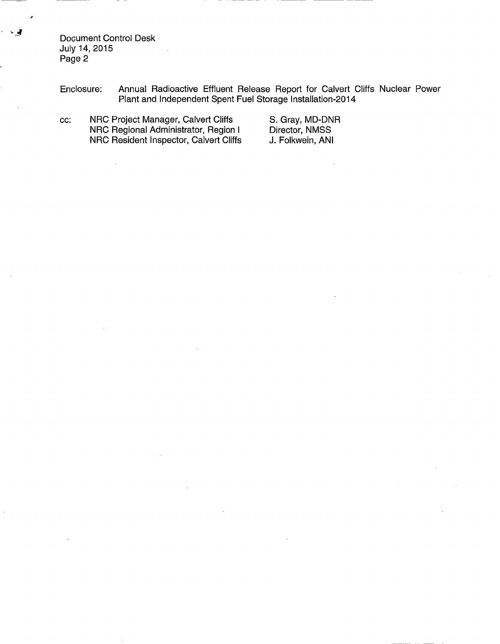Document Control Desk July 14, 2015 Page 2

 $\bar{L}$ 

Enclosure: Annual Radioactive Effluent Release Report for Calvert Cliffs Nuclear Power Plant and Independent Spent Fuel Storage Installation-2014

cc: NRC Project Manager, Calvert Cliffs NRC Regional Administrator, Region I NRC Resident Inspector, Calvert Cliffs

S. Gray, MD-DNR Director, NMSS J. Folkwein, ANI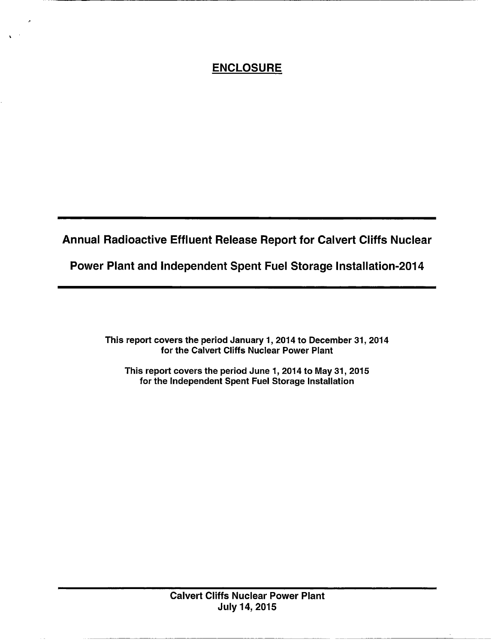# **ENCLOSURE**

Annual Radioactive Effluent Release Report for Calvert Cliffs Nuclear

Power Plant and Independent Spent Fuel Storage Installation-2014

This report covers the period January 1, 2014 to December 31, 2014 for the Calvert Cliffs Nuclear Power Plant

This report covers the period June 1, 2014 to May 31, 2015 for the Independent Spent Fuel Storage Installation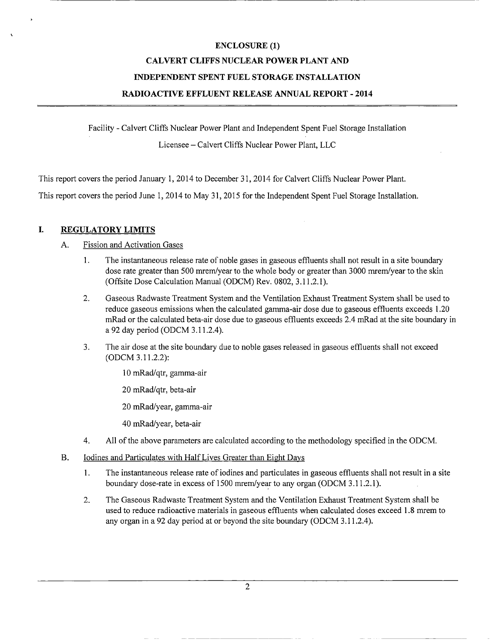#### **CALVERT CLIFFS NUCLEAR POWER PLANT AND**

#### **INDEPENDENT SPENT FUEL STORAGE INSTALLATION**

### **RADIOACTIVE EFFLUENT RELEASE ANNUAL REPORT** - **2014**

Facility - Calvert Cliffs Nuclear Power Plant and Independent Spent Fuel Storage Installation Licensee - Calvert Cliffs Nuclear Power Plant, LLC

This report covers the period January 1, 2014 to December 31, 2014 for Calvert Cliffs Nuclear Power Plant.

This report covers the period June 1, 2014 to May 31, 2015 for the Independent Spent Fuel Storage Installation.

#### I. **REGULATORY LIMITS**

### A. Fission and Activation Gases

- 1. The instantaneous release rate of noble gases in gaseous effluents shall not result in a site boundary dose rate greater than 500 mrem/year to the whole body or greater than 3000 mrem/year to the skin (Offsite Dose Calculation Manual (ODCM) Rev. 0802, 3.11.2.1).
- 2. Gaseous Radwaste Treatment System and the Ventilation Exhaust Treatment System shall be used to reduce gaseous emissions when the calculated gamma-air dose due to gaseous effluents exceeds 1.20 mRad or the calculated beta-air dose due to gaseous effluents exceeds 2.4 mRad at the site boundary in a 92 day period (ODCM 3.11.2.4).
- 3. The air dose at the site boundary due to noble gases released in gaseous effluents shall not exceed (ODCM 3.11.2.2):
	- 10 mRad/qtr, gamma-air
	- 20 mRad/qtr, beta-air
	- 20 mRad/year, gamma-air
	- 40 mRad/year, beta-air
- 4. All of the above parameters are calculated according to the methodology specified in the ODCM.
- B. Iodines and Particulates with Half Lives Greater than Eight Days
	- 1. The instantaneous release rate of iodines and particulates in gaseous effluents shall not result in a site boundary dose-rate in excess of 1500 mrem/year to any organ (ODCM 3.11.2.1).
	- 2. The Gaseous Radwaste Treatment System and the Ventilation Exhaust Treatment System shall be used to reduce radioactive materials in gaseous effluents when calculated doses exceed 1.8 mrem to any organ in a 92 day period at or beyond the site boundary (ODCM 3.11.2.4).

2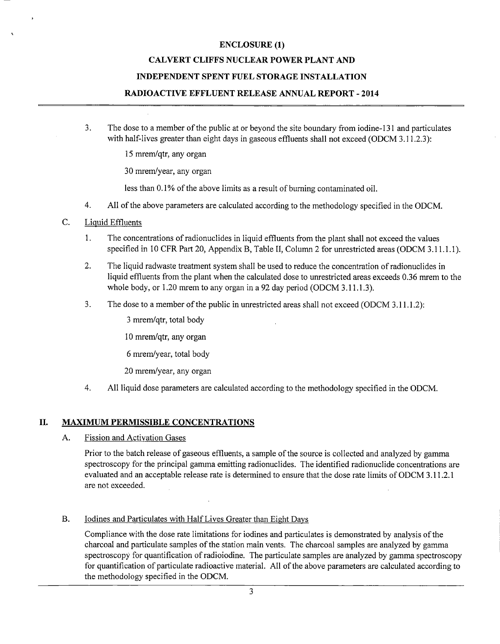### **CALVERT CLIFFS NUCLEAR POWER PLANT AND**

#### **INDEPENDENT SPENT FUEL STORAGE INSTALLATION**

#### **RADIOACTIVE EFFLUENT RELEASE ANNUAL REPORT** - **2014**

3. The dose to a member of the public at or beyond the site boundary from iodine-131 and particulates with half-lives greater than eight days in gaseous effluents shall not exceed (ODCM 3.11.2.3):

15 mrem/qtr, any organ

30 mrern/year, any organ

less than 0.1% of the above limits as a result of burning contaminated oil.

- 4. All of the above parameters are calculated according to the methodology specified in the ODCM.
- C. Liquid Effluents
	- 1. The concentrations of radionuclides in liquid effluents from the plant shall not exceed the values specified in 10 CFR Part 20, Appendix B, Table II, Column 2 for unrestricted areas (ODCM 3.11.1.1).
	- 2. The liquid radwaste treatment system shall be used to reduce the concentration of radionuclides in liquid effluents from the plant when the calculated dose to unrestricted areas exceeds 0.36 mrem to the whole body, or 1.20 mrem to any organ in a 92 day period (ODCM 3.11.1.3).
	- 3. The dose to a member of the public in unrestricted areas shall not exceed (ODCM 3.11.1.2):

3 mrem/qtr, total body

10 mrern/qtr, any organ

6 mrem/year, total body

20 mrem/year, any organ

4. All liquid dose parameters are calculated according to the methodology specified in the ODCM.

#### **II. MAXIMUM PERMISSIBLE CONCENTRATIONS**

A. Fission and Activation Gases

Prior to the batch release of gaseous effluents, a sample of the source is collected and analyzed by gamma spectroscopy for the principal gamma emitting radionuclides. The identified radionuclide concentrations are evaluated and an acceptable release rate is determined to ensure that the dose rate limits of ODCM 3.11.2.1 are not exceeded.

#### B. Iodines and Particulates with Half Lives Greater than Eight Days

Compliance with the dose rate limitations for iodines and particulates is demonstrated by analysis of the charcoal and particulate samples of the station main vents. The charcoal samples are analyzed by gamma spectroscopy for quantification of radioiodine. The particulate samples are analyzed by gamma spectroscopy for quantification of particulate radioactive material. All of the above parameters are calculated according to the methodology specified in the ODCM.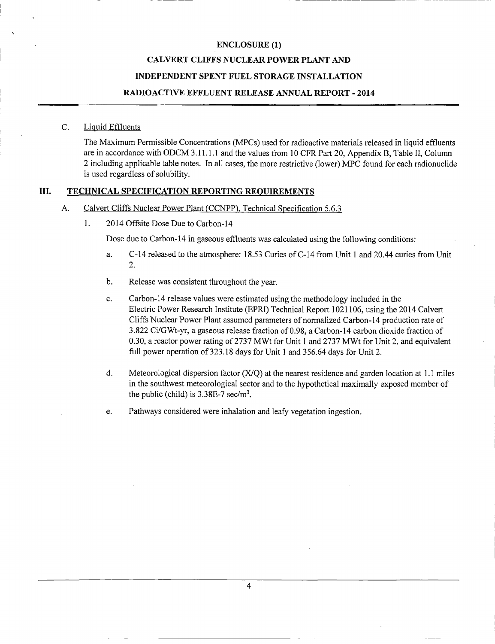### **CALVERT CLIFFS NUCLEAR POWER PLANT AND**

#### **INDEPENDENT SPENT FUEL STORAGE INSTALLATION**

#### **RADIOACTIVE EFFLUENT RELEASE ANNUAL REPORT** - **2014**

#### C. Liquid Effluents

The Maximum Permissible Concentrations (MPCs) used for radioactive materials released in liquid effluents are in accordance with ODCM 3.11.1.1 and the values from 10 CFR Part 20, Appendix B, Table II, Column 2 including applicable table notes. In all cases, the more restrictive (lower) MPC found for each radionuclide is used regardless of solubility.

### **III. TECHNICAL SPECIFICATION REPORTING REOUIREMENTS**

#### A. Calvert Cliffs Nuclear Power Plant (CCNPP), Technical Specification *5.6.3*

1. 2014 Offsite Dose Due to Carbon-14

Dose due to Carbon-14 in gaseous effluents was calculated using the following conditions:

- a. C-14 released to the atmosphere: 18.53 Curies of C-14 from Unit 1 and 20.44 curies from Unit 2.
- b. Release was consistent throughout the year.
- c. Carbon-14 release values were estimated using the methodology included in the Electric Power Research Institute (EPRI) Technical Report 1021106, using the 2014 Calvert Cliffs Nuclear Power Plant assumed parameters of normalized Carbon-14 production rate of 3.822 Ci/GWt-yr, a gaseous release fraction of 0.98, a Carbon-14 carbon dioxide fraction of 0.30, a reactor power rating of 2737 MWt for Unit 1 and 2737 MWt for Unit 2, and equivalent full power operation of 323.18 days for Unit 1 and 356.64 days for Unit 2.
- d. Meteorological dispersion factor (X/Q) at the nearest residence and garden location at 1.1 miles in the southwest meteorological sector and to the hypothetical maximally exposed member of the public (child) is  $3.38E-7$  sec/m<sup>3</sup>.
- e. Pathways considered were inhalation and leafy vegetation ingestion.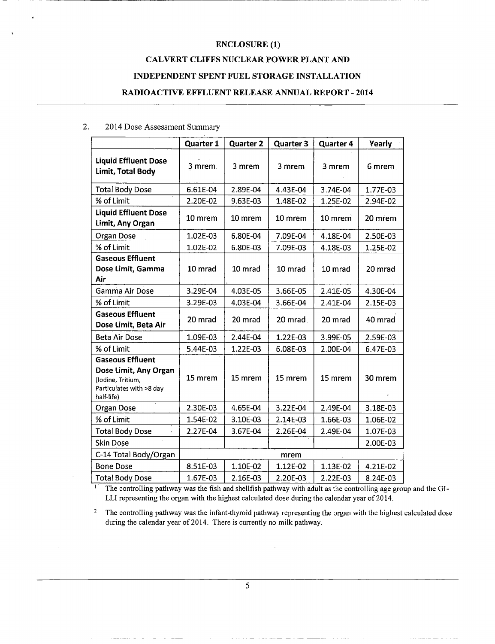### **CALVERT CLIFFS NUCLEAR POWER PLANT AND**

#### **INDEPENDENT SPENT FUEL STORAGE INSTALLATION**

#### **RADIOACTIVE EFFLUENT RELEASE ANNUAL REPORT** - **2014**

### 2. 2014 Dose Assessment Summary

|                                                                                                                 | <b>Quarter 1</b> | <b>Quarter 2</b> | <b>Quarter 3</b> | <b>Quarter 4</b> | Yearly   |
|-----------------------------------------------------------------------------------------------------------------|------------------|------------------|------------------|------------------|----------|
| <b>Liquid Effluent Dose</b><br>Limit, Total Body                                                                | 3 mrem.          | 3 mrem           | 3 mrem           | 3 mrem           | 6 mrem   |
| <b>Total Body Dose</b>                                                                                          | 6.61E-04         | 2.89E-04         | 4.43E-04         | 3.74E-04         | 1.77E-03 |
| % of Limit                                                                                                      | 2.20E-02         | 9.63E-03         | 1.48E-02         | 1.25E-02         | 2.94E-02 |
| <b>Liquid Effluent Dose</b><br>Limit, Any Organ                                                                 | 10 mrem          | 10 mrem          | 10 mrem          | 10 mrem          | 20 mrem  |
| Organ Dose                                                                                                      | 1.02E-03         | 6.80E-04         | 7.09E-04         | 4.18E-04         | 2.50E-03 |
| % of Limit                                                                                                      | 1.02E-02         | 6.80E-03         | 7.09E-03         | 4.18E-03         | 1.25E-02 |
| <b>Gaseous Effluent</b><br>Dose Limit, Gamma<br>Air                                                             | 10 mrad          | 10 mrad          | 10 mrad          | 10 mrad          | 20 mrad  |
| <b>Gamma Air Dose</b>                                                                                           | 3.29E-04         | 4.03E-05         | 3.66E-05         | 2.41E-05         | 4.30E-04 |
| % of Limit                                                                                                      | 3.29E-03         | 4.03E-04         | 3.66E-04         | 2.41E-04         | 2.15E-03 |
| <b>Gaseous Effluent</b><br>Dose Limit, Beta Air                                                                 | 20 mrad          | 20 mrad          | 20 mrad          | 20 mrad          | 40 mrad  |
| <b>Beta Air Dose</b>                                                                                            | 1.09E-03         | 2.44E-04         | 1.22E-03         | 3.99E-05         | 2.59E-03 |
| % of Limit                                                                                                      | 5.44E-03         | 1.22E-03         | 6.08E-03         | 2.00E-04         | 6.47E-03 |
| <b>Gaseous Effluent</b><br>Dose Limit, Any Organ<br>(Iodine, Tritium,<br>Particulates with >8 day<br>half-life) | 15 mrem          | 15 mrem          | 15 mrem          | 15 mrem          | 30 mrem  |
| Organ Dose                                                                                                      | 2.30E-03         | 4.65E-04         | 3.22E-04         | 2.49E-04         | 3.18E-03 |
| % of Limit                                                                                                      | 1.54E-02         | 3.10E-03         | 2.14E-03         | 1.66E-03         | 1.06E-02 |
| <b>Total Body Dose</b>                                                                                          | 2.27E-04         | 3.67E-04         | 2.26E-04         | 2.49E-04         | 1.07E-03 |
| <b>Skin Dose</b>                                                                                                |                  |                  |                  |                  | 2.00E-03 |
| C-14 Total Body/Organ                                                                                           |                  |                  | mrem             |                  |          |
| <b>Bone Dose</b>                                                                                                | 8.51E-03         | 1.10E-02         | 1.12E-02         | 1.13E-02         | 4.21E-02 |
| <b>Total Body Dose</b>                                                                                          | 1.67E-03         | 2.16E-03         | 2.20E-03         | 2.22E-03         | 8.24E-03 |

The controlling pathway was the fish and shellfish pathway with adult as the controlling age group and the GI-LLI representing the organ with the highest calculated dose during the calendar year of 2014.

<sup>2</sup> The controlling pathway was the infant-thyroid pathway representing the organ with the highest calculated dose during the calendar year of 2014. There is currently no milk pathway.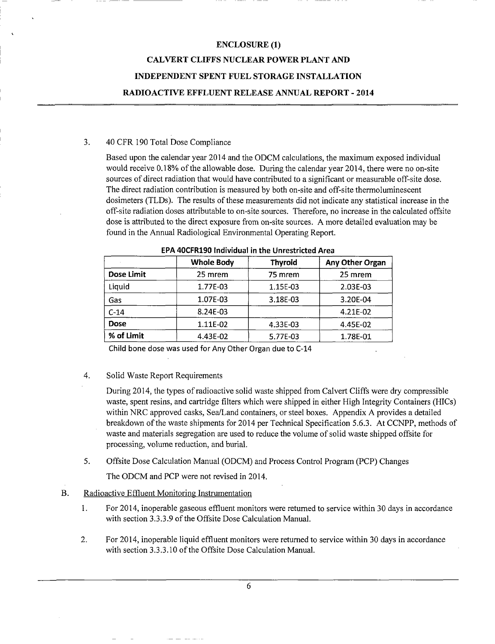# **ENCLOSURE (1) CALVERT CLIFFS NUCLEAR POWER PLANT AND INDEPENDENT SPENT FUEL STORAGE INSTALLATION RADIOACTIVE EFFLUENT RELEASE ANNUAL REPORT** - **2014**

#### **3. 40 CFR** 190 Total Dose Compliance

Based upon the calendar year 2014 and the ODCM calculations, the maximum exposed individual would receive 0.18% of the allowable dose. During the calendar year 2014, there were no on-site sources of direct radiation that would have contributed to a significant or measurable off-site dose. The direct radiation contribution is measured by both on-site and off-site thermoluminescent dosimeters (TLDs). The results of these measurements did not indicate any statistical increase in the off-site radiation doses attributable to on-site sources. Therefore, no increase in the calculated offsite dose is attributed to the direct exposure from on-site sources. A more detailed evaluation may be found in the Annual Radiological Environmental Operating Report.

|                   | <b>Whole Body</b> | <b>Thyroid</b> | Any Other Organ |
|-------------------|-------------------|----------------|-----------------|
| <b>Dose Limit</b> | 25 mrem           | 75 mrem        | 25 mrem         |
| Liquid            | 1.77E-03          | 1.15E-03       | 2.03E-03        |
| Gas               | 1.07E-03          | 3.18E-03       | 3.20E-04        |
| $C-14$            | 8.24E-03          |                | 4.21E-02        |
| <b>Dose</b>       | 1.11E-02          | 4.33E-03       | 4.45E-02        |
| % of Limit        | 4.43E-02          | 5.77E-03       | 1.78E-01        |

**EPA 40CFR190 Individual in the Unrestricted Area**

**Child bone dose was used for Any Other Organ due to C-14**

4. Solid Waste Report Requirements

During 2014, the types of radioactive solid waste shipped from Calvert Cliffs were dry compressible waste, spent resins, and cartridge filters which were shipped in either High Integrity Containers (HICs) within NRC approved casks, Sea/Land containers, or steel boxes. Appendix A provides a detailed breakdown of the waste shipments for 2014 per Technical Specification *5.6.3.* At CCNPP, methods of waste and materials segregation are used to reduce the volume of solid waste shipped offsite for processing, volume reduction, and burial.

*5.* Offsite Dose Calculation Manual (ODCM) and Process Control Program (PCP) Changes

The ODCM and PCP were not revised in 2014.

### B. Radioactive Effluent Monitoring Instrumentation

- 1. For 2014, inoperable gaseous effluent monitors were returned to service within 30 days in accordance with section 3.3.3.9 of the Offsite Dose Calculation Manual.
- 2. For 2014, inoperable liquid effluent monitors were returned to service within 30 days in accordance with section 3.3.3.10 of the Offsite Dose Calculation Manual.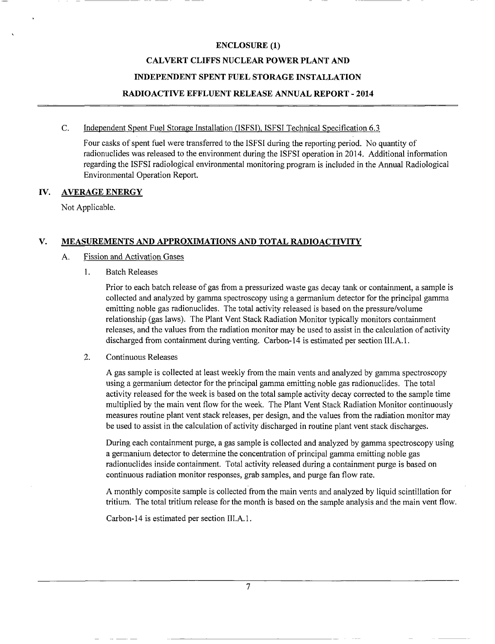#### **CALVERT CLIFFS NUCLEAR POWER PLANT AND**

#### **INDEPENDENT SPENT FUEL STORAGE INSTALLATION**

### **RADIOACTIVE EFFLUENT RELEASE ANNUAL REPORT** - **2014**

#### C. Independent Spent Fuel Storage Installation (ISFSI). ISFSI Technical Specification 6.3

Four casks of spent fuel were transferred to the ISFSI during the reporting period. No quantity of radionuclides was released to the environment during the ISFSI operation in 2014. Additional information regarding the ISFSI radiological environmental monitoring program is included in the Annual Radiological Environmental Operation Report.

### lV. **AVERAGE ENERGY**

Not Applicable.

### V. MEASUREMENTS AND **APPROXIMATIONS AND TOTAL RADIOACTIVITY**

### A. Fission and Activation Gases

1. Batch Releases

Prior to each batch release of gas from a pressurized waste gas decay tank or containment, a sample is collected and analyzed by gamma spectroscopy using a germanium detector for the principal gamma emitting noble gas radionuclides. The total activity released is based on the pressure/volume relationship (gas laws). The Plant Vent Stack Radiation Monitor typically monitors containment releases, and the values from the radiation monitor may be used to assist in the calculation of activity discharged from containment during venting. Carbon-14 is estimated per section III.A. 1.

### 2. Continuous Releases

A gas sample is collected at least weekly from the main vents and analyzed by gamma spectroscopy using a germanium detector for the principal gamma emitting noble gas radionuclides. The total activity released for the week is based on the total sample activity decay corrected to the sample time multiplied by the main vent flow for the week. The Plant Vent Stack Radiation Monitor continuously measures routine plant vent stack releases, per design, and the values from the radiation monitor may be used to assist in the calculation of activity discharged in routine plant vent stack discharges.

During each containment purge, a gas sample is collected and analyzed by gamma spectroscopy using a germanium detector to determine the concentration of principal gamma emitting noble gas radionuclides inside containment. Total activity released during a containment purge is based on continuous radiation monitor responses, grab samples, and purge fan flow rate.

A monthly composite sample is collected from the main vents and analyzed by liquid scintillation for tritium. The total tritium release for the month is based on the sample analysis and the main vent flow.

Carbon-14 is estimated per section III.A. 1.

7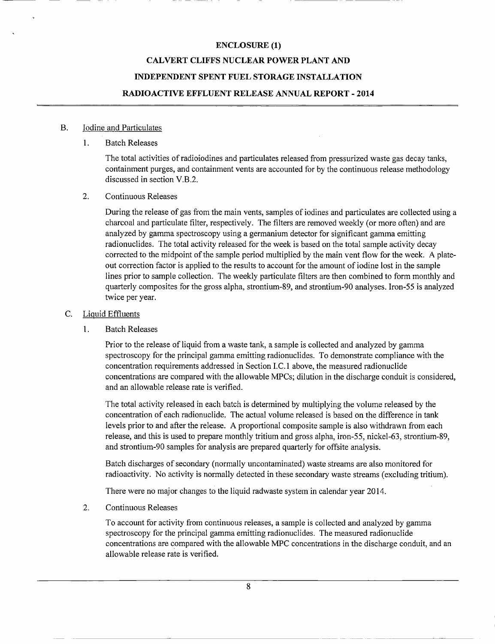#### **CALVERT CLIFFS NUCLEAR POWER PLANT AND**

#### **INDEPENDENT SPENT FUEL STORAGE INSTALLATION**

#### **RADIOACTIVE EFFLUENT RELEASE ANNUAL REPORT** - **2014**

#### **B.** Iodine and Particulates

#### $\mathbf{1}$ . 1. **Batch Releases**

The total activities of radioiodines and particulates released from pressurized waste gas decay tanks, containment purges, and containment vents are accounted for by the continuous release methodology discussed in section V.B.2.

#### 2. Continuous Releases

During the release of gas from the main vents, samples of iodines and particulates are collected using a charcoal and particulate filter, respectively. The filters are removed weekly (or more often) and are analyzed by gamma spectroscopy using a germanium detector for significant gamma emitting radionuclides. The total activity released for the week is based on the total sample activity decay corrected to the midpoint of the sample period multiplied by the main vent flow for the week. A plateout correction factor is applied to the results to account for the amount of iodine lost in the sample lines prior to sample collection. The weekly particulate filters are then combined to form monthly and quarterly composites for the gross alpha, strontium-89, and strontium-90 analyses. Iron-55 is analyzed twice per year.

#### C. Liquid Effluents

 $1<sub>1</sub>$ **Batch Releases** 

> Prior to the release of liquid from a waste tank, a sample is collected and analyzed by gamma spectroscopy for the principal gamma emitting radionuclides. To demonstrate compliance with the concentration requirements addressed in Section l.C. 1 above, the measured radionuclide concentrations are compared with the allowable MPCs; dilution in the discharge conduit is considered, and an allowable release rate is verified.

The total activity released in each batch is determined by multiplying the volume released by the concentration of each radionuclide. The actual volume released is based on the difference in tank levels prior to and after the release. A proportional composite sample is also withdrawn from each release, and this is used to prepare monthly tritium and gross alpha, iron-55, nickel-63, strontium-89, and strontium-90 samples for analysis are prepared quarterly for offsite analysis.

Batch discharges of secondary (normally uncontaminated) waste streams are also monitored for radioactivity. No activity is normally detected in these secondary waste streams (excluding tritium).

There were no major changes to the liquid radwaste system in calendar year 2014.

### 2. Continuous Releases

To account for activity from continuous releases, a sample is collected and analyzed by gamma spectroscopy for the principal gamma emitting radionuclides. The measured radionuclide concentrations are compared with the allowable MPC concentrations in the discharge conduit, and an allowable release rate is verified.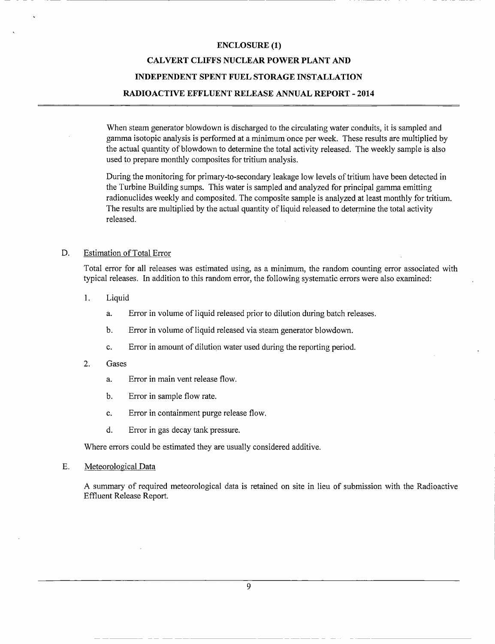# **CALVERT CLIFFS NUCLEAR POWER PLANT AND INDEPENDENT SPENT FUEL STORAGE INSTALLATION RADIOACTIVE EFFLUENT RELEASE ANNUAL REPORT** - **2014**

When steam generator blowdown is discharged to the circulating water conduits, it is sampled and gamma isotopic analysis is performed at a minimum once per week. These results are multiplied by the actual quantity of blowdown to determine the total activity released. The weekly sample is also used to prepare monthly composites for tritium analysis.

During the monitoring for primary-to-secondary leakage low levels of tritium have been detected in the Turbine Building sumps. This water is sampled and analyzed for principal gamma emitting radionuclides weekly and composited. The composite sample is analyzed at least monthly for tritium. The results are multiplied by the actual quantity of liquid released to determine the total activity released.

### D. Estimation of Total Error

Total error for all releases was estimated using, as a minimum, the random counting error associated with typical releases. In addition to this random error, the following systematic errors were also examined:

- 1. Liquid
	- a. Error in volume of liquid released prior to dilution during batch releases.
	- b. Error in volume of liquid released via steam generator blowdown.
	- c. Error in amount of dilution water used during the reporting period.
- 2. Gases
	- a. Error in main vent release flow.
	- b. Error in sample flow rate.
	- c. Error in containment purge release flow.
	- d. Error in gas decay tank pressure.

Where errors could be estimated they are usually considered additive.

E. Meteorological Data

A summary of required meteorological data is retained on site in lieu of submission with the Radioactive Effluent Release Report.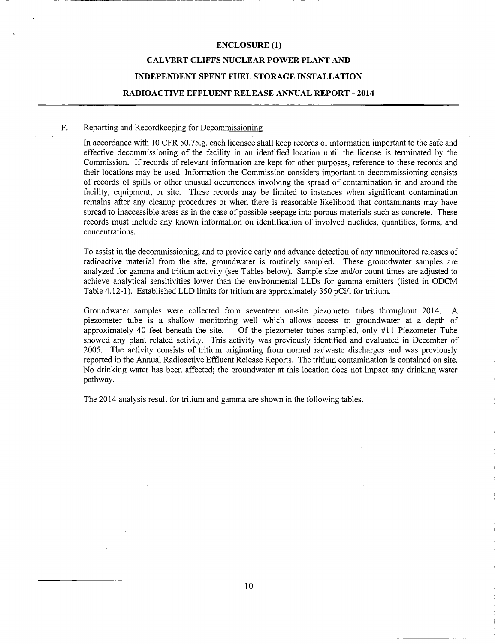### **CALVERT CLIFFS NUCLEAR POWER PLANT AND**

### **INDEPENDENT SPENT FUEL STORAGE INSTALLATION**

#### **RADIOACTIVE EFFLUENT RELEASE ANNUAL REPORT** - **2014**

#### **F.** Reporting and Recordkeeping for Decommissioning

In accordance with 10 CFR *50.75.g,* each licensee shall keep records of information important to the safe and effective decommissioning of the facility in an identified location until the license is terminated by the Commission. If records of relevant information are kept for other purposes, reference to these records and their locations may be used. Information the Commission considers important to decommissioning consists of records of spills or other unusual occurrences involving the spread of contamination in and around the facility, equipment, or site. These records may be limited to instances when significant contamination remains after any cleanup procedures or when there is reasonable likelihood that contaminants may have spread to inaccessible areas as in the case of possible seepage into porous materials such as concrete. These records must include any known information on identification of involved nuclides, quantities, forms, and concentrations.

To assist in the decommissioning, and to provide early and advance detection of any unmonitored releases of radioactive material from the site, groundwater is routinely sampled. These groundwater samples are analyzed for gamma and tritium activity (see Tables below). Sample size and/or count times are adjusted to achieve analytical sensitivities lower than the environmental LLDs for gamma emitters (listed in ODCM Table 4.12-1). Established LLD limits for tritium are approximately *350* pCi/1 for tritium.

Groundwater samples were collected from seventeen on-site piezometer tubes throughout 2014. A piezometer tube is a shallow monitoring well which allows access to groundwater at a depth of approximately 40 feet beneath the site. Of the piezometer tubes sampled, only #11 Piezometer Tube showed any plant related activity. This activity was previously identified and evaluated in December of *2005.* The activity consists of tritium originating from normal radwaste discharges and was previously reported in the Annual Radioactive Effluent Release Reports. The tritium contamination is contained on site. No drinking water has been affected; the groundwater at this location does not impact any drinking water pathway.

The 2014 analysis result for tritium and gamma are shown in the following tables.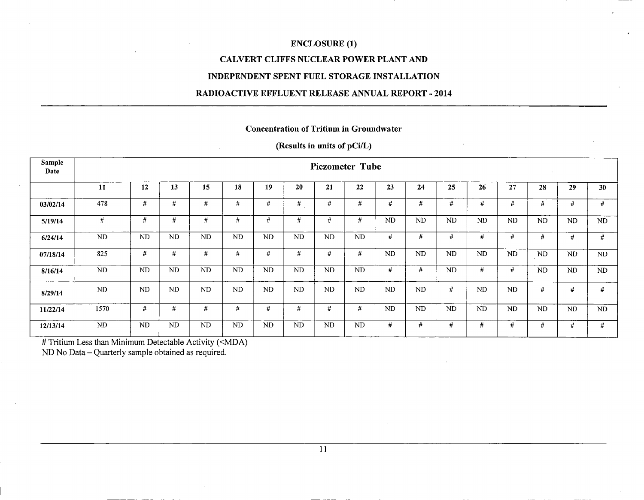### **CALVERT CLIFFS NUCLEAR POWER PLANT AND**

#### **INDEPENDENT SPENT FUEL STORAGE INSTALLATION**

#### **RADIOACTIVE EFFLUENT RELEASE ANNUAL REPORT** - **2014**

#### **Concentration of Tritium in Groundwater**

### **(Results in units of pCi/L)**

| Sample<br>Date |                | <b>Piezometer Tube</b><br>$\sim$ |           |           |           |           |           |           |           |           |           |           |           |           |           |           |           |
|----------------|----------------|----------------------------------|-----------|-----------|-----------|-----------|-----------|-----------|-----------|-----------|-----------|-----------|-----------|-----------|-----------|-----------|-----------|
|                | 11             | 12                               | 13        | 15        | 18        | 19        | 20        | 21        | 22        | 23        | 24        | 25        | 26        | 27        | 28        | 29        | 30        |
| 03/02/14       | 478            | #                                | #         | #         | $\#$      | #         | #         | #         | #         | #         | #         | #         | #         | #         | #         | #         | #         |
| 5/19/14        | #              | #                                | #         | #         | $\#$      | #         | #         | #         | #         | <b>ND</b> | <b>ND</b> | <b>ND</b> | <b>ND</b> | <b>ND</b> | $\rm ND$  | <b>ND</b> | <b>ND</b> |
| 6/24/14        | ND             | <b>ND</b>                        | <b>ND</b> | ND        | ND        | ND        | <b>ND</b> | <b>ND</b> | <b>ND</b> | #         | #         | #         | #         | #         | #         | #         | #         |
| 07/18/14       | 825            | #                                | #         | #         | #         | #         | #         | #         | #         | <b>ND</b> | ND        | <b>ND</b> | <b>ND</b> | ND        | $\rm ND$  | <b>ND</b> | ND        |
| 8/16/14        | ND.            | <b>ND</b>                        | <b>ND</b> | ND.       | <b>ND</b> | <b>ND</b> | <b>ND</b> | <b>ND</b> | <b>ND</b> | $\#$      | #         | ND.       | #         | #         | ND        | <b>ND</b> | ND.       |
| 8/29/14        | N <sub>D</sub> | <b>ND</b>                        | <b>ND</b> | <b>ND</b> | <b>ND</b> | <b>ND</b> | <b>ND</b> | <b>ND</b> | <b>ND</b> | <b>ND</b> | <b>ND</b> | #         | <b>ND</b> | ND.       | #         | #         | #         |
| 11/22/14       | 1570           | #                                | #         | #         | #         | #         | #         | #         | #         | <b>ND</b> | ND.       | <b>ND</b> | <b>ND</b> | ND.       | <b>ND</b> | <b>ND</b> | ND        |
| 12/13/14       | <b>ND</b>      | <b>ND</b>                        | <b>ND</b> | <b>ND</b> | <b>ND</b> | <b>ND</b> | <b>ND</b> | <b>ND</b> | <b>ND</b> | #         | #         | #         | #         | #         | #         | #         | #         |

 $\overline{u}$  Tritium Less than Minimum Detectable Activity (<MDA)

ND No Data - Quarterly sample obtained as required.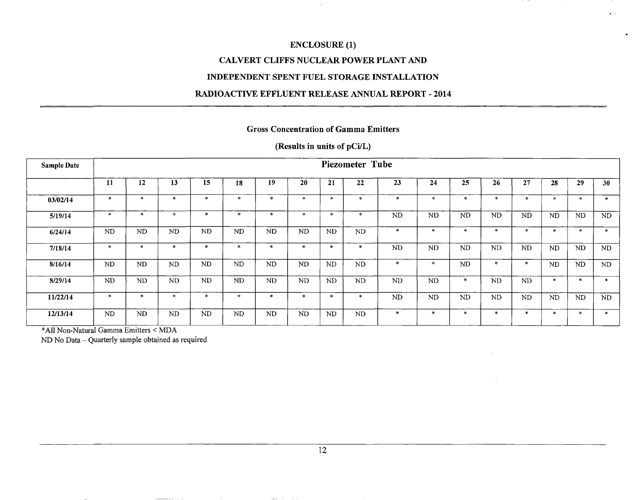$\sim$ 

### CALVERT CLIFFS NUCLEAR POWER PLANT AND

#### INDEPENDENT SPENT FUEL STORAGE INSTALLATION

#### RADIOACTIVE EFFLUENT RELEASE ANNUAL REPORT - 2014

### Gross Concentration of Gamma Emitters

### (Results in units of pCi/L)

| <b>Sample Date</b> |           |           |                |              |              |           |               |                             | Piezometer Tube |           |              |           |           |           |           |           |              |
|--------------------|-----------|-----------|----------------|--------------|--------------|-----------|---------------|-----------------------------|-----------------|-----------|--------------|-----------|-----------|-----------|-----------|-----------|--------------|
|                    | <b>11</b> | 12        | 13             | 15           | 18           | 19        | 20            | 21                          | 22              | 23        | 24           | 25        | 26        | 27        | 28        | 29        | 30           |
| 03/02/14           | $\ast$    | $\ast$    | $\ast$         | $\mathbf{x}$ | $\star$      | $\star$   | 业             | $\star$                     | $\mathbf{x}$    | $\ast$    | $\ast$       | ×         | $\ast$    | $\star$   | $\star$   | $\star$   | $\ast$       |
| 5/19/14            | $\ast$    | $\ast$    | $\sim$         | 米            | $\ast$       | $\ast$    | $\mathcal{H}$ | $\mathcal{L}_{\mathcal{C}}$ | $\pm$           | <b>ND</b> | <b>ND</b>    | <b>ND</b> | <b>ND</b> | <b>ND</b> | <b>ND</b> | <b>ND</b> | ND.          |
| 6/24/14            | ND        | ND.       | N <sub>D</sub> | <b>ND</b>    | <b>ND</b>    | <b>ND</b> | <b>ND</b>     | ND                          | <b>ND</b>       | $\ast$    | $\mathbf{x}$ | $\ast$    | $\star$   | $*$       | $\ast$    | $\star$   | $\ast$       |
| 7/18/14            | $\star$   | $\ast$    | 未              | $\ast$       | $\mathbf{x}$ | $*$       | $\mathbf{x}$  | $\star$                     | *               | <b>ND</b> | <b>ND</b>    | <b>ND</b> | <b>ND</b> | <b>ND</b> | <b>ND</b> | <b>ND</b> | ND.          |
| 8/16/14            | ND        | ND.       | <b>ND</b>      | <b>ND</b>    | <b>ND</b>    | <b>ND</b> | <b>ND</b>     | ND.                         | <b>ND</b>       | *         | *            | <b>ND</b> | $\ast$    | ∗         | ND.       | <b>ND</b> | ND.          |
| 8/29/14            | ND        | <b>ND</b> | <b>ND</b>      | <b>ND</b>    | <b>ND</b>    | <b>ND</b> | <b>ND</b>     | ND.                         | <b>ND</b>       | <b>ND</b> | <b>ND</b>    | $\ast$    | <b>ND</b> | <b>ND</b> | $\star$   | $\star$   | $\mathbf{x}$ |
| 11/22/14           | $\ast$    | $\ast$    | $\star$        | $\ast$       | $\star$      | $\ast$    | $\star$       | $\ast$                      | $\ast$          | <b>ND</b> | <b>ND</b>    | <b>ND</b> | <b>ND</b> | <b>ND</b> | <b>ND</b> | <b>ND</b> | ND.          |
| 12/13/14           | <b>ND</b> | ND.       | <b>ND</b>      | <b>ND</b>    | <b>ND</b>    | <b>ND</b> | <b>ND</b>     | ND                          | <b>ND</b>       | $\ast$    | $\star$      | $*$       | $\ast$    | $\ast$    | $\star$   | $*$       | $\ast$       |

•\*AII Non-Natural Gamma Emitters < MDA

ND No Data - Quarterly sample obtained as required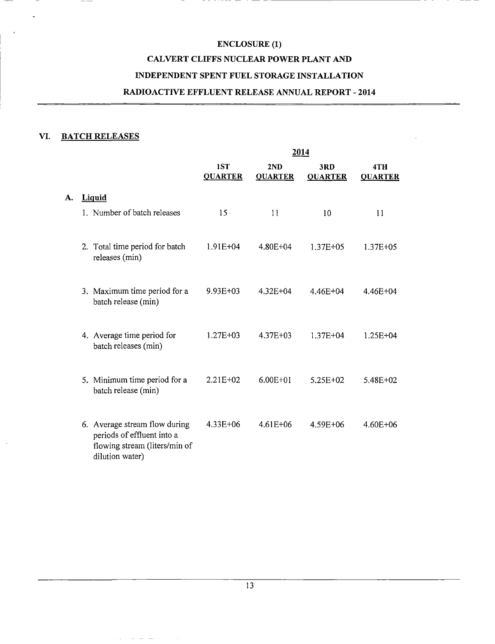# **ENCLOSURE (1) CALVERT CLIFFS NUCLEAR POWER PLANT AND INDEPENDENT SPENT FUEL STORAGE INSTALLATION RADIOACTIVE EFFLUENT RELEASE ANNUAL REPORT** - **2014**

### **VI. BATCH RELEASES**

 $- -$ 

**A.** 

 $\overline{\phantom{a}}$ 

 $\ddot{\phantom{1}}$ 

 $\overline{\phantom{a}}$ 

|                                                             |                       |                       | 2014                  |                       |
|-------------------------------------------------------------|-----------------------|-----------------------|-----------------------|-----------------------|
|                                                             | 1ST<br><b>QUARTER</b> | 2ND<br><b>QUARTER</b> | 3RD<br><b>QUARTER</b> | 4TH<br><b>QUARTER</b> |
| <b>Liquid</b>                                               |                       |                       |                       |                       |
| 1. Number of batch releases                                 | $15 -$                | 11                    | 10                    | 11                    |
|                                                             |                       |                       |                       |                       |
| 2. Total time period for batch                              | $1.91E + 04$          | 4.80E+04              | $1.37E + 05$          | 1.37E+05              |
| releases (min)                                              |                       |                       |                       |                       |
| 3. Maximum time period for a                                | $9.93E + 03$          | $4.32E + 04$          | 4.46E+04              | $4.46E + 04$          |
| batch release (min)                                         |                       |                       |                       |                       |
|                                                             |                       |                       |                       |                       |
| 4. Average time period for<br>batch releases (min)          | $1.27E + 03$          | 4.37E+03              | $1.37E + 04$          | $1.25E + 04$          |
|                                                             |                       |                       |                       |                       |
| 5. Minimum time period for a                                | $2.21E + 02$          | $6.00E + 01$          | 5.25E+02              | 5.48E+02              |
| batch release (min)                                         |                       |                       |                       |                       |
|                                                             |                       |                       |                       |                       |
| 6. Average stream flow during<br>periods of effluent into a | $4.33E + 06$          | $4.61E + 06$          | 4.59E+06              | $4.60E + 06$          |
| flowing stream (liters/min of<br>dilution water)            |                       |                       |                       |                       |
|                                                             |                       |                       |                       |                       |

المناطق الطرابط المعاملة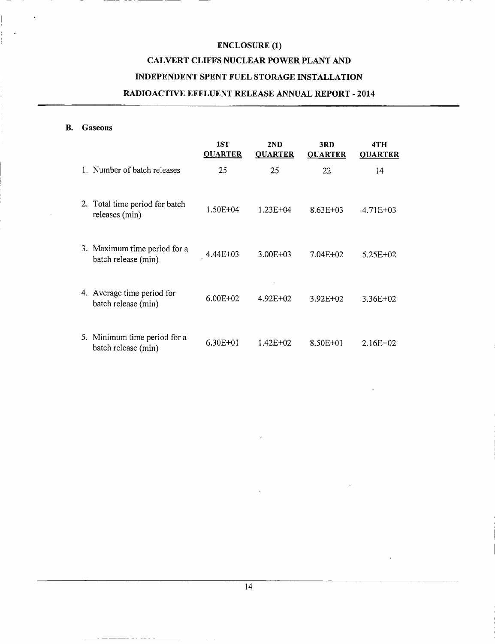### **CALVERT CLIFFS NUCLEAR POWER PLANT AND**

### **INDEPENDENT SPENT FUEL STORAGE INSTALLATION**

### **RADIOACTIVE EFFLUENT RELEASE ANNUAL REPORT** - **2014**

#### **B. Gaseous**

|                                                     | 1ST<br><b>QUARTER</b> | 2ND<br><b>QUARTER</b> | 3RD<br><b>QUARTER</b> | 4TH<br><b>QUARTER</b> |
|-----------------------------------------------------|-----------------------|-----------------------|-----------------------|-----------------------|
| 1. Number of batch releases                         | 25                    | 25                    | 22                    | 14                    |
| 2. Total time period for batch<br>releases (min)    | 1.50E+04              | $1.23E + 04$          | $8.63E + 03$          | $4.71E + 03$          |
| 3. Maximum time period for a<br>batch release (min) | 4.44E+03              | $3.00E + 03$          | $7.04E + 02$          | $5.25E + 02$          |
| 4. Average time period for<br>batch release (min)   | $6.00E + 02$          | $4.92E+02$            | $3.92E + 02$          | $3.36E+02$            |
| 5. Minimum time period for a<br>batch release (min) | $6.30E + 01$          | 1.42E+02              | 8.50E+01              | $2.16E + 02$          |

14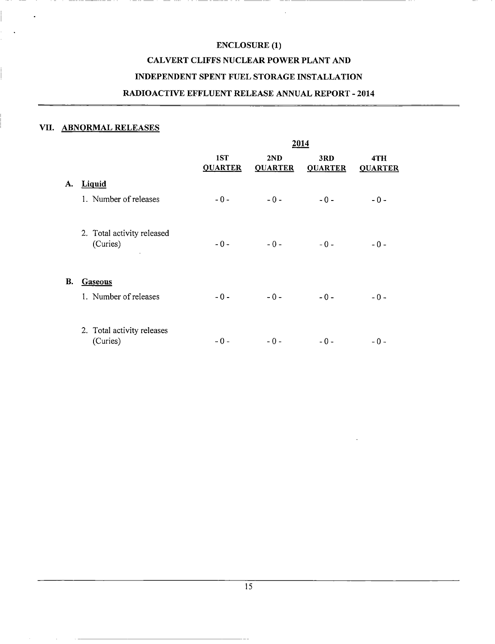### **CALVERT CLIFFS NUCLEAR POWER PLANT AND**

### **INDEPENDENT SPENT FUEL STORAGE INSTALLATION**

### **RADIOACTIVE EFFLUENT RELEASE ANNUAL REPORT** - **2014**

#### **VII. ABNORMAL RELEASES**

|    |                                                   |                       |                       | 2014                  |                       |
|----|---------------------------------------------------|-----------------------|-----------------------|-----------------------|-----------------------|
|    |                                                   | 1ST<br><b>QUARTER</b> | 2ND<br><b>QUARTER</b> | 3RD<br><b>QUARTER</b> | 4TH<br><b>QUARTER</b> |
| A. | <b>Liquid</b>                                     |                       |                       |                       |                       |
|    | 1. Number of releases                             | $-0-$                 | $-0-$                 | $-0-$                 | $-0-$                 |
|    | 2. Total activity released<br>(Curies)<br>$\cdot$ | $-0-$                 | $-0-$                 | $-0-$                 | $-0-$                 |
| В. | <b>Gaseous</b>                                    |                       |                       |                       |                       |
|    | 1. Number of releases                             | $-0-$                 | $-0-$                 | $-0-$                 | $-0-$                 |
|    | 2. Total activity releases<br>(Curies)            | $-0-$                 | $-0-$                 | $-0-$                 | $-0-$                 |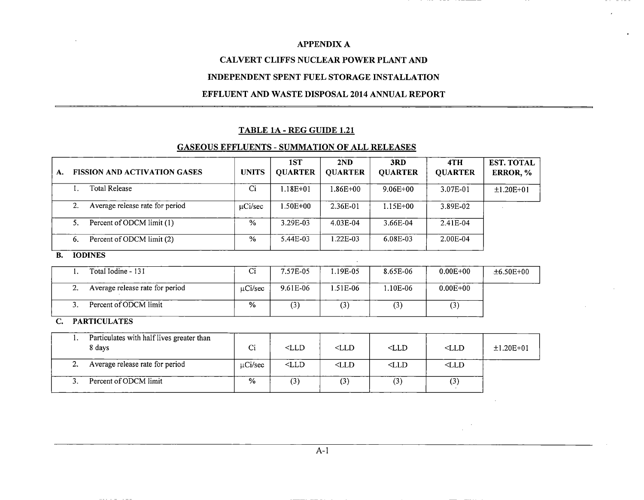### **CALVERT CLIFFS NUCLEAR POWER PLANT AND**

### **INDEPENDENT SPENT FUEL STORAGE INSTALLATION**

#### **EFFLUENT AND WASTE DISPOSAL 2014 ANNUAL REPORT**

#### **TABLE 1A** - **REG GUIDE 1.21**

#### **GASEOUS EFFLUENTS** - **SUMMATION OF ALL RELEASES**

| А. |    | <b>FISSION AND ACTIVATION GASES</b>                 | <b>UNITS</b>   | 1ST<br><b>QUARTER</b> | 2ND<br><b>QUARTER</b> | 3RD<br><b>QUARTER</b> | 4TH<br><b>QUARTER</b> | <b>EST. TOTAL</b><br>ERROR, % |  |
|----|----|-----------------------------------------------------|----------------|-----------------------|-----------------------|-----------------------|-----------------------|-------------------------------|--|
|    | 1. | <b>Total Release</b>                                | Ci             | $1.18E + 01$          | $1.86E + 00$          | $9.06E + 00$          | 3.07E-01              | $±1.20E+01$                   |  |
|    | 2. | Average release rate for period                     | $\mu$ Ci/sec   | 1.50E+00              | 2.36E-01              | $1.15E+00$            | 3.89E-02              |                               |  |
|    | 5. | Percent of ODCM limit (1)                           | $\frac{0}{6}$  | 3.29E-03              | 4.03E-04              | 3.66E-04              | 2.41E-04              |                               |  |
|    | 6. | Percent of ODCM limit (2)                           | %              | 5.44E-03              | 1.22E-03              | 6.08E-03              | 2.00E-04              |                               |  |
| В. |    | <b>IODINES</b>                                      |                |                       |                       |                       |                       |                               |  |
|    |    | Total Iodine - 131                                  | $\overline{C}$ | 7.57E-05              | 1.19E-05              | 8.65E-06              | $0.00E + 00$          | $±6.50E+00$                   |  |
|    | 2. | Average release rate for period                     | $\mu$ Ci/sec   | 9.61E-06              | 1.51E-06              | 1.10E-06              | $0.00E + 00$          |                               |  |
|    | 3. | Percent of ODCM limit                               | %              | (3)                   | (3)                   | (3)                   | (3)                   |                               |  |
| C. |    | <b>PARTICULATES</b>                                 |                |                       |                       |                       |                       |                               |  |
|    | 1. | Particulates with half lives greater than<br>8 days | Ci             | $<$ LLD               | CLLD                  | $<$ LLD               | $<$ LLD               | $±1.20E+01$                   |  |
|    | 2. | Average release rate for period                     | $\mu$ Ci/sec   | $<$ LLD               | $<$ LLD               | $<$ LLD               | $<$ LLD               |                               |  |
|    | 3. | Percent of ODCM limit                               | $\frac{0}{0}$  | (3)                   | (3)                   | (3)                   | (3)                   |                               |  |

. . . . . . . .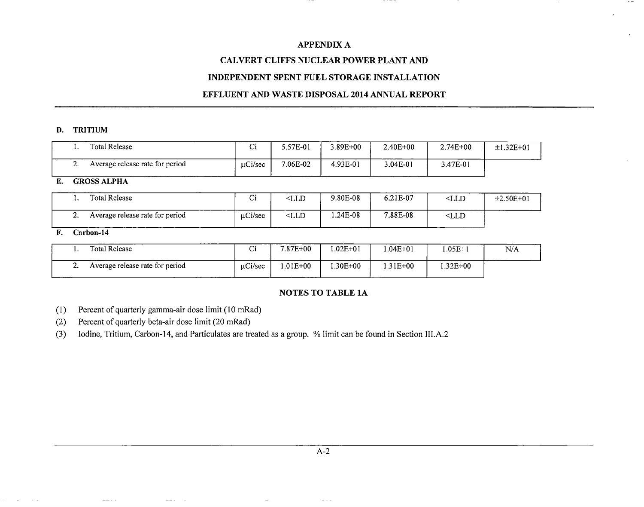### **CALVERT CLIFFS NUCLEAR POWER PLANT AND**

### **INDEPENDENT SPENT FUEL STORAGE INSTALLATION**

#### **EFFLUENT AND WASTE DISPOSAL 2014 ANNUAL REPORT**

#### **D. TRITIUM**

|     | Total Release                   | ⌒:<br>ີ      | 5.57E-01 | $3.89E + 00$ | $2.40E + 00$ | $2.74E+00$ | $±1.32E+01$ |
|-----|---------------------------------|--------------|----------|--------------|--------------|------------|-------------|
| . . | Average release rate for period | $\mu$ Ci/sec | 7.06E-02 | 4.93E-01     | 3.04E-01     | 3.47E-01   |             |

#### E. GROSS ALPHA

| Total Release                   | ⌒:<br>ີ | <lld< th=""><th>9.80E-08</th><th>6.21E-07</th><th><math>&lt;</math>LLD</th><th><math>±2.50E+01</math></th></lld<> | 9.80E-08 | 6.21E-07 | $<$ LLD | $±2.50E+01$ |
|---------------------------------|---------|-------------------------------------------------------------------------------------------------------------------|----------|----------|---------|-------------|
| Average release rate for period | uCi/sec | $<$ LLD                                                                                                           | .24E-08  | 7.88E-08 | $<$ LLD |             |

### F. Carbon-14

|            | Total Release                   | ÷.<br>ີ      | 7.87E+00    | $.02E + 01$ | $.04E + 01$ | $.05E+1$ | N/A |
|------------|---------------------------------|--------------|-------------|-------------|-------------|----------|-----|
| <u>. .</u> | Average release rate for period | $\mu$ Ci/sec | $.01E + 00$ | $.30E + 00$ | 1.31E+00    | .32E+00  |     |

### **NOTES TO TABLE 1A**

(1) Percent of quarterly gamma-air dose limit (10 mRad)

(2) Percent of quarterly beta-air dose limit (20 mRad)

(3) Iodine, Tritium, Carbon-14, and Particulates are treated as a group. % limit can be found in Section III.A.2

 $\omega_{\rm{max}}$  .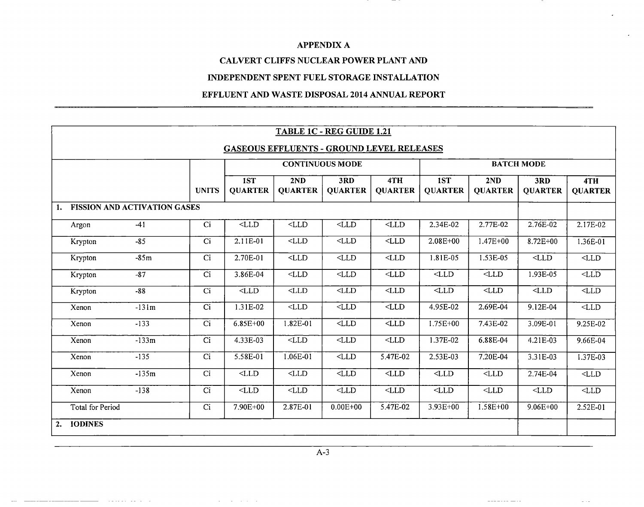$\overline{\phantom{0}}$ 

### **CALVERT CLIFFS NUCLEAR POWER PLANT AND**

### **INDEPENDENT SPENT FUEL STORAGE INSTALLATION**

### **EFFLUENT AND WASTE DISPOSAL 2014 ANNUAL REPORT**

|                         |                                     |                  |                          |                                           | TABLE 1C - REG GUIDE 1.21 |                       |                       |                       |                       |                       |  |
|-------------------------|-------------------------------------|------------------|--------------------------|-------------------------------------------|---------------------------|-----------------------|-----------------------|-----------------------|-----------------------|-----------------------|--|
|                         |                                     |                  |                          | GASEOUS EFFLUENTS - GROUND LEVEL RELEASES |                           |                       |                       |                       |                       |                       |  |
|                         |                                     |                  |                          |                                           | <b>CONTINUOUS MODE</b>    |                       |                       |                       | <b>BATCH MODE</b>     |                       |  |
|                         |                                     | <b>UNITS</b>     | 1ST<br><b>QUARTER</b>    | 2ND<br><b>QUARTER</b>                     | 3RD<br><b>QUARTER</b>     | 4TH<br><b>QUARTER</b> | 1ST<br><b>QUARTER</b> | 2ND<br><b>QUARTER</b> | 3RD<br><b>QUARTER</b> | 4TH<br><b>QUARTER</b> |  |
|                         | <b>FISSION AND ACTIVATION GASES</b> |                  |                          |                                           |                           |                       |                       |                       |                       |                       |  |
| Argon                   | $-41$                               | $\overline{Ci}$  | $\overline{\text{CLLD}}$ | $<$ LLD                                   | $\overline{CLID}$         | $<$ LLD               | 2.34E-02              | 2.77E-02              | 2.76E-02              | 2.17E-02              |  |
| Krypton                 | $-85$                               | $\overline{C}$ i | 2.11E-01                 | $<$ LLD                                   | $<$ LLD $\,$              | $<$ LLD $\,$          | $2.08E + 00$          | $1.47E + 00$          | 8.72E+00              | $1.36E-01$            |  |
| Krypton                 | $-85m$                              | Ci               | 2.70E-01                 | $<$ LLD                                   | $<$ LLD                   | $<$ LLD               | 1.81E-05              | 1.53E-05              | $<$ LLD               | $<$ LLD $\,$          |  |
| Krypton                 | $-87$                               | Ci               | 3.86E-04                 | $<$ LLD $\,$                              | $-LLD$                    | $<$ LLD               | $<$ LLD               | $<$ LLD               | 1.93E-05              | $<$ LLD               |  |
| Krypton                 | $-88$                               | C <sub>i</sub>   | $<$ LLD                  | $<$ LLD                                   | $<$ LLD                   | $<$ LLD $\,$          | $<$ LLD $\,$          | $<$ LLD $\,$          | $<$ LLD $\,$          | $<$ LLD               |  |
| Xenon                   | $-131m$                             | Ci               | 1.31E-02                 | $<$ LLD                                   | $<$ LLD                   | $<$ LLD $\,$          | 4.95E-02              | 2.69E-04              | 9.12E-04              | $<$ LLD               |  |
| Xenon                   | $-133$                              | Ci               | $6.85E + 00$             | 1.82E-01                                  | $<$ LLD                   | $<$ LLD               | 1.75E+00              | 7.43E-02              | 3.09E-01              | 9.25E-02              |  |
| Xenon                   | $-133m$                             | C <sub>i</sub>   | 4.33E-03                 | $<$ LLD                                   | $<$ LLD $\,$              | $<$ LLD               | 1.37E-02              | 6.88E-04              | 4.21E-03              | 9.66E-04              |  |
| Xenon                   | $-135$                              | Ci               | $5.58E-01$               | $1.06E-01$                                | $\overline{\text{CLD}}$   | 5.47E-02              | 2.53E-03              | $7.20E-04$            | 3.31E-03              | 1.37E-03              |  |
| Xenon                   | $-135m$                             | Ci               | $<$ LLD                  | $<$ LLD                                   | $<$ LLD $\,$              | $<$ LLD $\,$          | $<$ LLD $\,$          | $<$ LLD $\,$          | 2.74E-04              | $<$ LLD $\,$          |  |
| Xenon                   | $-138$                              | Ci               | $<$ LLD                  | $<$ LLD                                   | $<$ LLD $\,$              | $\text{CLLD}$         | $<$ LLD $\,$          | $<$ LLD $\,$          | $<$ LLD $\,$          | $<$ LLD               |  |
| <b>Total for Period</b> |                                     | Ci               | 7.90E+00                 | 2.87E-01                                  | $0.00E + 00$              | 5.47E-02              | 3.93E+00              | $1.58E + 00$          | $9.06E + 00$          | 2.52E-01              |  |
| <b>IODINES</b><br>2.    |                                     |                  |                          |                                           |                           |                       |                       |                       |                       |                       |  |

A-3

 $\begin{array}{cccccccccccccc} \multicolumn{2}{c}{} & \multicolumn{2}{c}{} & \multicolumn{2}{c}{} & \multicolumn{2}{c}{} & \multicolumn{2}{c}{} & \multicolumn{2}{c}{} & \multicolumn{2}{c}{} & \multicolumn{2}{c}{} & \multicolumn{2}{c}{} & \multicolumn{2}{c}{} & \multicolumn{2}{c}{} & \multicolumn{2}{c}{} & \multicolumn{2}{c}{} & \multicolumn{2}{c}{} & \multicolumn{2}{c}{} & \multicolumn{2}{c}{} & \multicolumn{2}{c}{} & \multicolumn{2}{c}{} & \multicolumn{2}{c}{} & \$ 

and a straight and state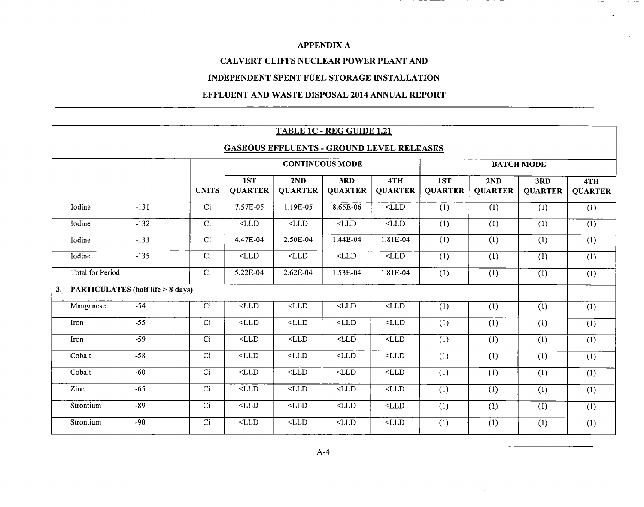$\mathbb{R}^2$ 

 $-$ 

 $-$ 

 $\cdots$ 

### CALVERT CLIFFS NUCLEAR POWER PLANT AND

### INDEPENDENT SPENT FUEL STORAGE INSTALLATION

### EFFLUENT AND WASTE DISPOSAL 2014 ANNUAL REPORT

| TABLE 1C - REG GUIDE 1.21                 |        |                 |                       |                          |                        |                       |                       |                       |                       |                           |
|-------------------------------------------|--------|-----------------|-----------------------|--------------------------|------------------------|-----------------------|-----------------------|-----------------------|-----------------------|---------------------------|
| GASEOUS EFFLUENTS - GROUND LEVEL RELEASES |        |                 |                       |                          |                        |                       |                       |                       |                       |                           |
|                                           |        |                 |                       |                          | <b>CONTINUOUS MODE</b> |                       |                       |                       | <b>BATCH MODE</b>     |                           |
|                                           |        | <b>UNITS</b>    | 1ST<br><b>QUARTER</b> | 2ND<br><b>QUARTER</b>    | 3RD<br><b>QUARTER</b>  | 4TH<br><b>QUARTER</b> | 1ST<br><b>QUARTER</b> | 2ND<br><b>QUARTER</b> | 3RD<br><b>QUARTER</b> | 4TH<br><b>QUARTER</b>     |
| Iodine                                    | $-131$ | $\overline{Ci}$ | 7.57E-05              | 1.19E-05                 | $8.65E-06$             | $<$ LLD               | (1)                   | (1)                   | (1)                   | (1)                       |
| Iodine                                    | $-132$ | Ci              | $<$ LLD               | $<$ LLD                  | $<$ LLD                | $<$ LLD               | (1)                   | $\overline{(1)}$      | $\overline{(1)}$      | $\overline{(1)}$          |
| Iodine                                    | $-133$ | Ci              | 4.47E-04              | 2.50E-04                 | 1.44E-04               | 1.81E-04              | (1)                   | (1)                   | (1)                   | (1)                       |
| Iodine                                    | $-135$ | Ci              | $<$ LLD               | $<$ LLD                  | $<$ LLD $\,$           | $<$ LLD               | (1)                   | (1)                   | (1)                   | $\overline{(1)}$          |
| <b>Total for Period</b>                   |        | Ci              | 5.22E-04              | 2.62E-04                 | 1.53E-04               | 1.81E-04              | (1)                   | (1)                   | (1)                   | (1)                       |
| 3. PARTICULATES (half life > 8 days)      |        |                 |                       |                          |                        |                       |                       |                       |                       |                           |
| Manganese                                 | $-54$  | Ci              | $<$ LLD               | $<$ LLD                  | $<$ LLD $\,$           | $<$ LLD               | (1)                   | (1)                   | (1)                   | (1)                       |
| Iron                                      | $-55$  | Ci              | $<$ LLD               | $<$ LLD                  | $<$ LLD $\,$           | $<$ LLD               | (1)                   | (1)                   | (1)                   | (1)                       |
| Iron                                      | $-59$  | $\overline{Ci}$ | $<$ LLD               | $<$ LLD                  | $<$ LLD                | $<$ LLD               | (1)                   | (1)                   | (1)                   | (1)                       |
| Cobalt                                    | $-58$  | $\overline{ci}$ | $\overline{LLD}$      | $<$ LLD                  | $<$ LLD $\,$           | $<$ LLD $\,$          | (1)                   | (1)                   | (1)                   | (1)                       |
| Cobalt                                    | $-60$  | $\overline{Ci}$ | $<$ LLD               | $\overline{\text{CLID}}$ | $<$ LLD                | $<$ LLD               | (1)                   | (1)                   | (1)                   | (1)                       |
| Zinc                                      | $-65$  | Ci              | $<$ LLD $\,$          | $<$ LLD                  | $<$ LLD                | $<$ LLD               | (1)                   | (1)                   | (1)                   | (1)                       |
| Strontium                                 | $-89$  | $\overline{Ci}$ | $<$ LLD               | $<$ LLD                  | $<$ LLD                | $<$ LLD               | (1)                   | (1)                   | (1)                   | (1)                       |
| Strontium                                 | $-90$  | $\overline{C}$  | $<$ LLD               | $<$ LLD                  | $<$ LLD $\,$           | $<$ LLD               | (1)                   | (1)                   | $\overline{(1)}$      | $\overline{(\mathbf{1})}$ |

 $\sim$   $\sim$ 

المنادي والمعاونة والمستوقف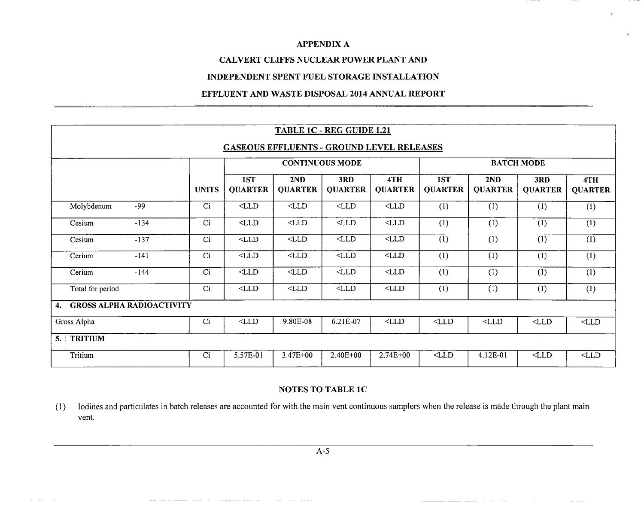### **CALVERT CLIFFS NUCLEAR POWER PLANT AND**

### **INDEPENDENT SPENT FUEL STORAGE INSTALLATION**

### **EFFLUENT AND WASTE DISPOSAL 2014 ANNUAL REPORT**

|                      |                                                  |                 |                       |                       | TABLE 1C - REG GUIDE 1.21 |                       |                       |                       |                       |                       |
|----------------------|--------------------------------------------------|-----------------|-----------------------|-----------------------|---------------------------|-----------------------|-----------------------|-----------------------|-----------------------|-----------------------|
|                      | <b>GASEOUS EFFLUENTS - GROUND LEVEL RELEASES</b> |                 |                       |                       |                           |                       |                       |                       |                       |                       |
|                      |                                                  |                 |                       |                       | <b>CONTINUOUS MODE</b>    |                       |                       |                       | <b>BATCH MODE</b>     |                       |
|                      |                                                  | <b>UNITS</b>    | 1ST<br><b>QUARTER</b> | 2ND<br><b>QUARTER</b> | 3RD<br><b>QUARTER</b>     | 4TH<br><b>QUARTER</b> | 1ST<br><b>QUARTER</b> | 2ND<br><b>QUARTER</b> | 3RD<br><b>QUARTER</b> | 4TH<br><b>QUARTER</b> |
| Molybdenum           | $-99$                                            | Ci              | $<$ LLD               | $<$ LLD               | $<$ LLD                   | $<$ LLD               | (1)                   | (1)                   | (1)                   | (1)                   |
| Cesium               | $-134$                                           | Ci              | $<$ LLD               | $<$ LLD               | $<$ LLD                   | $<$ LLD               | (1)                   | (1)                   | $\overline{(1)}$      | $\overline{(1)}$      |
| Cesium               | $-137$                                           | Ci              | $<$ LLD               | $<$ LLD               | $<$ LLD                   | $<$ LLD               | (1)                   | (1)                   | (1)                   | (1)                   |
| Cerium               | $-141$                                           | Ci              | $<$ LLD $\,$          | $<$ LLD               | $<$ LLD                   | $<$ LLD               | (1)                   | (1)                   | (1)                   | (1)                   |
| Cerium               | $-144$                                           | $\overline{ci}$ | $<$ LLD               | $<$ LLD               | $<$ LLD $\,$              | $<$ LLD               | (1)                   | (1)                   | (1)                   | (1)                   |
| Total for period     |                                                  | Ci              | $<$ LLD               | $<$ LLD               | $<$ LLD                   | $<$ LLD               | (1)                   | (1)                   | (1)                   | (1)                   |
| 4.                   | <b>GROSS ALPHA RADIOACTIVITY</b>                 |                 |                       |                       |                           |                       |                       |                       |                       |                       |
| Gross Alpha          |                                                  | Ci              | $<$ LLD               | 9.80E-08              | 6.21E-07                  | $<$ LLD               | $<$ LLD $\,$          | $<$ LLD               | $<$ LLD               | $<$ LLD $\,$          |
| <b>TRITIUM</b><br>5. |                                                  |                 |                       |                       |                           |                       |                       |                       |                       |                       |
| Tritium              |                                                  | Ci              | 5.57E-01              | $3.47E + 00$          | 2.40E+00                  | 2.74E+00              | $<$ LLD               | 4.12E-01              | $<$ LLD $\,$          | $<$ LLD $\,$          |

### NOTES **TO TABLE 1C**

(1) Iodines and particulates in batch releases are accounted for with the main vent continuous samplers when the release is made through the plant main vent.

 $\sim 10$ 

 $\sim$ 

 $- - -$ 

and a series of the company

and the company of the state

 $\sim$ 

 $\sim$   $\sim$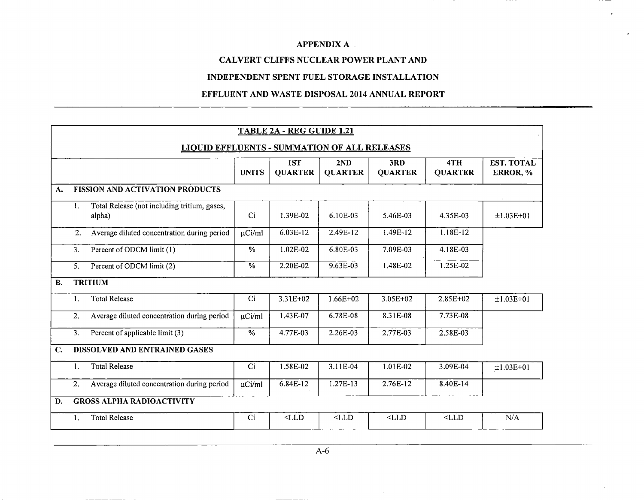$- - - -$ 

### **CALVERT CLIFFS NUCLEAR POWER PLANT AND**

#### **INDEPENDENT SPENT FUEL STORAGE INSTALLATION**

#### **EFFLUENT AND WASTE DISPOSAL 2014 ANNUAL REPORT**

|                |    |                                                        |                | <b>TABLE 2A - REG GUIDE 1.21</b> |                       |                       |                       |                               |
|----------------|----|--------------------------------------------------------|----------------|----------------------------------|-----------------------|-----------------------|-----------------------|-------------------------------|
|                |    | <b>LIQUID EFFLUENTS - SUMMATION OF ALL RELEASES</b>    |                |                                  |                       |                       |                       |                               |
|                |    |                                                        | <b>UNITS</b>   | 1ST<br><b>QUARTER</b>            | 2ND<br><b>QUARTER</b> | 3RD<br><b>QUARTER</b> | 4TH<br><b>QUARTER</b> | <b>EST. TOTAL</b><br>ERROR, % |
| A.             |    | <b>FISSION AND ACTIVATION PRODUCTS</b>                 |                |                                  |                       |                       |                       |                               |
|                | 1. | Total Release (not including tritium, gases,<br>alpha) | Ci             | 1.39E-02                         | 6.10E-03              | 5.46E-03              | 4.35E-03              | $±1.03E+01$                   |
|                | 2. | Average diluted concentration during period            | $\mu$ Ci/ml    | 6.03E-12                         | 2.49E-12              | 1.49E-12              | 1.18E-12              |                               |
|                | 3. | Percent of ODCM limit (1)                              | $\frac{0}{0}$  | 1.02E-02                         | 6.80E-03              | 7.09E-03              | 4.18E-03              |                               |
|                | 5. | Percent of ODCM limit (2)                              | %              | 2.20E-02                         | 9.63E-03              | 1.48E-02              | 1.25E-02              |                               |
| <b>B.</b>      |    | <b>TRITIUM</b>                                         |                |                                  |                       |                       |                       |                               |
|                | 1. | Total Release                                          | C <sub>i</sub> | 3.31E+02                         | $1.66E + 02$          | 3.05E+02              | 2.85E+02              | $±1.03E+01$                   |
|                | 2. | Average diluted concentration during period            | µCi/ml         | 1.43E-07                         | 6.78E-08              | 8.31E-08              | 7.73E-08              |                               |
|                | 3. | Percent of applicable limit (3)                        | $\%$           | 4.77E-03                         | 2.26E-03              | 2.77E-03              | 2.58E-03              |                               |
| $\mathbf{C}$ . |    | DISSOLVED AND ENTRAINED GASES                          |                |                                  |                       |                       |                       |                               |
|                | 1. | <b>Total Release</b>                                   | Ci             | 1.58E-02                         | $3.11E-04$            | $1.01E-02$            | 3.09E-04              | $±1.03E+01$                   |
|                | 2. | Average diluted concentration during period            | uCi/ml         | 6.84E-12                         | 1.27E-13              | 2.76E-12              | 8.40E-14              |                               |
| D.             |    | <b>GROSS ALPHA RADIOACTIVITY</b>                       |                |                                  |                       |                       |                       |                               |
|                | 1. | <b>Total Release</b>                                   | Ci             | $<$ LLD                          | $<$ LLD               | $<$ LLD               | $<$ LLD               | N/A                           |

 $\mathcal{L}$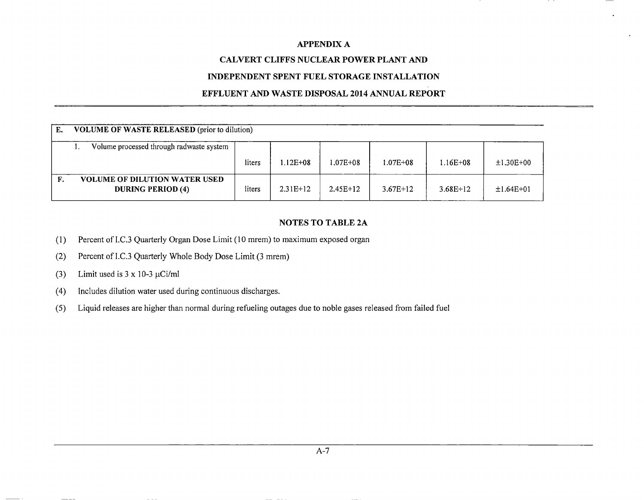### **CALVERT CLIFFS NUCLEAR POWER PLANT AND**

### **INDEPENDENT SPENT FUEL STORAGE INSTALLATION**

### **EFFLUENT AND WASTE DISPOSAL 2014 ANNUAL REPORT**

| Е. | <b>VOLUME OF WASTE RELEASED</b> (prior to dilution)              |        |            |            |            |            |             |  |
|----|------------------------------------------------------------------|--------|------------|------------|------------|------------|-------------|--|
|    | Volume processed through radwaste system                         |        |            |            |            |            |             |  |
|    |                                                                  | liters | 1.12E+08   | 1.07E+08   | 1.07E+08   | 1.16E+08   | $±1.30E+00$ |  |
|    | <b>VOLUME OF DILUTION WATER USED</b><br><b>DURING PERIOD (4)</b> | liters | $2.31E+12$ | $2.45E+12$ | $3.67E+12$ | $3.68E+12$ | $±1.64E+01$ |  |

### **NOTES TO TABLE 2A**

- (1) Percent of I.C.3 Quarterly Organ Dose Limit (10 mrem) to maximum exposed organ
- (2) Percent of I.C.3 Quarterly Whole Body Dose Limit (3 mrem)
- (3) Limit used is  $3 \times 10-3 \mu$ Ci/ml
- (4) Includes dilution water used during continuous discharges.
- *(5)* Liquid releases are higher than normal during refueling outages due to noble gases released from failed fuel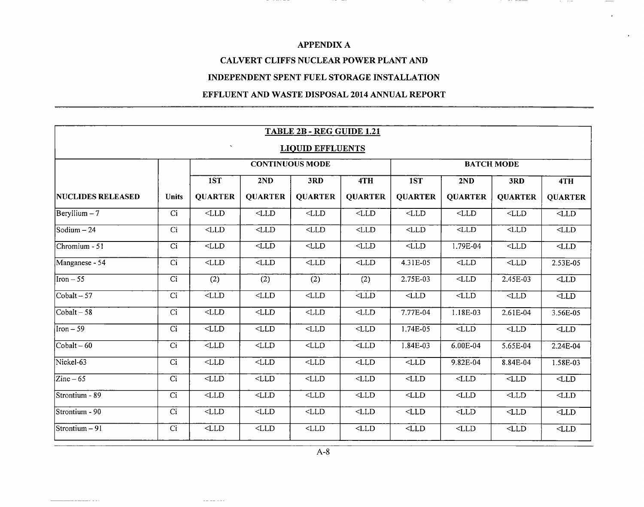$\cdots$   $\cdots$ 

\_\_\_\_\_\_\_

\_\_\_\_\_\_\_

### **CALVERT CLIFFS NUCLEAR POWER PLANT AND**

### **INDEPENDENT SPENT FUEL STORAGE INSTALLATION**

### **EFFLUENT AND WASTE DISPOSAL 2014 ANNUAL REPORT**

|                          |                                                     |                          |                         | TABLE 2B - REG GUIDE 1.21 |                          |                          |                   |                  |                |  |  |
|--------------------------|-----------------------------------------------------|--------------------------|-------------------------|---------------------------|--------------------------|--------------------------|-------------------|------------------|----------------|--|--|
|                          | $\boldsymbol{\varsigma}$<br><b>LIQUID EFFLUENTS</b> |                          |                         |                           |                          |                          |                   |                  |                |  |  |
|                          |                                                     |                          |                         | <b>CONTINUOUS MODE</b>    |                          |                          | <b>BATCH MODE</b> |                  |                |  |  |
|                          |                                                     | 1ST                      | 2ND                     | 3RD                       | 4TH                      | 1ST                      | 2ND               | 3RD              | 4TH            |  |  |
| <b>NUCLIDES RELEASED</b> | <b>Units</b>                                        | <b>QUARTER</b>           | <b>QUARTER</b>          | <b>QUARTER</b>            | <b>QUARTER</b>           | <b>QUARTER</b>           | <b>QUARTER</b>    | <b>QUARTER</b>   | <b>QUARTER</b> |  |  |
| $\text{Beryllium}-7$     | $\overline{Ci}$                                     | $<$ LLD                  | $<$ LLD                 | $<$ LLD                   | $<$ LLD $\,$             | $<$ LLD                  | $<$ LLD $\,$      | $<$ LLD          | $<$ LLD        |  |  |
| Sodium $-24$             | $\overline{Ci}$                                     | $\overline{\text{CLD}}$  | $<$ LLD                 | $<$ LLD                   | $\overline{\text{CLLD}}$ | $<$ LLD                  | $\overline{LLD}$  | $\overline{LLD}$ | $<$ LLD        |  |  |
| Chromium - 51            | Ci                                                  | $<$ LLD                  | $\overline{\text{CLD}}$ | $<$ LLD                   | $<$ LLD                  | $<$ LLD                  | 1.79E-04          | $<$ LLD          | $<$ LLD $\,$   |  |  |
| Manganese - 54           | $\overline{Ci}$                                     | $<$ LLD                  | $<$ LLD                 | $<$ LLD                   | $<$ LLD                  | 4.31E-05                 | $<$ LLD           | $<$ LLD          | 2.53E-05       |  |  |
| $\text{Iron} - 55$       | $\overline{Ci}$                                     | (2)                      | (2)                     | (2)                       | (2)                      | 2.75E-03                 | $<$ LLD           | 2.45E-03         | $<$ LLD        |  |  |
| $Cobalt - 57$            | $\overline{Ci}$                                     | $\overline{\text{CLD}}$  | $<$ LLD                 | $<$ LLD                   | $<$ LLD                  | $\overline{\text{CLLD}}$ | $<$ LLD           | $<$ LLD          | $<$ LLD        |  |  |
| $\vert$ Cobalt – 58      | Ci                                                  | $<$ LLD                  | $<$ LLD                 | $<$ LLD                   | $<$ LLD                  | 7.77E-04                 | 1.18E-03          | 2.61E-04         | 3.56E-05       |  |  |
| $\text{Iron} - 59$       | $\overline{C}$                                      | $\overline{\text{CLLD}}$ | $<$ LLD                 | $<$ LLD                   | $<$ LLD                  | $1.74E-05$               | $<$ LLD           | $<$ LLD          | $<$ LLD        |  |  |
| $\vert$ Cobalt – 60      | Ci                                                  | $<$ LLD $\,$             | $<$ LLD                 | $<$ LLD                   | $<$ LLD                  | 1.84E-03                 | 6.00E-04          | 5.65E-04         | 2.24E-04       |  |  |
| Nickel-63                | Ci                                                  | $<$ LLD                  | $<$ LLD                 | $<$ LLD                   | $<$ LLD                  | $<$ LLD                  | 9.82E-04          | 8.84E-04         | 1.58E-03       |  |  |
| $\text{Zinc}-65$         | Ci                                                  | $<$ LLD $\,$             | $<$ LLD                 | $<$ LLD $\,$              | $<$ LLD                  | $<$ LLD $\,$             | $<$ LLD           | $<$ LLD $\,$     | $<$ LLD        |  |  |
| Strontium - 89           | $\overline{Ci}$                                     | $\overline{\text{CLLD}}$ | $<$ LLD                 | $<$ LLD                   | $\overline{\text{CLD}}$  | $<$ LLD                  | $<$ LLD $\,$      | $<$ LLD $\,$     | $<$ LLD        |  |  |
| Strontium - 90           | $\overline{C_1}$                                    | $<$ LLD $\,$             | $<$ LLD                 | $<$ LLD $\,$              | $<$ LLD $\,$             | $<$ LLD $\,$             | $<$ LLD           | $<$ LLD $\,$     | $<$ LLD $\,$   |  |  |
| Strontium – 91           | Ci                                                  | $<$ LLD                  | $<$ LLD                 | $<$ LLD $\,$              | $<$ LLD $\,$             | $<$ LLD $\,$             | $<$ LLD           | $<$ LLD          | $<$ LLD $\,$   |  |  |

 $\omega=\omega=\omega/\omega$ 

. . . . . .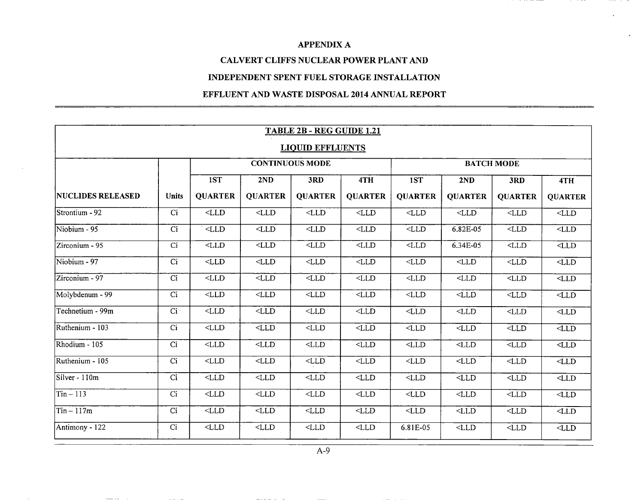### **CALVERT CLIFFS NUCLEAR POWER PLANT AND**

### **INDEPENDENT SPENT FUEL STORAGE INSTALLATION**

### **EFFLUENT AND WASTE DISPOSAL 2014 ANNUAL REPORT**

|                          |                         |                          |                          | TABLE 2B - REG GUIDE 1.21 |                          |                |                |                   |                          |
|--------------------------|-------------------------|--------------------------|--------------------------|---------------------------|--------------------------|----------------|----------------|-------------------|--------------------------|
|                          | <b>LIQUID EFFLUENTS</b> |                          |                          |                           |                          |                |                |                   |                          |
|                          |                         |                          |                          | <b>CONTINUOUS MODE</b>    |                          |                |                | <b>BATCH MODE</b> |                          |
|                          |                         | 1ST                      | 2ND                      | 3RD                       | 4TH                      | 1ST            | 2ND            | 3RD               | 4TH                      |
| <b>NUCLIDES RELEASED</b> | <b>Units</b>            | <b>QUARTER</b>           | <b>QUARTER</b>           | <b>QUARTER</b>            | <b>QUARTER</b>           | <b>QUARTER</b> | <b>QUARTER</b> | <b>QUARTER</b>    | <b>QUARTER</b>           |
| Strontium - 92           | Ci                      | $<$ LLD                  | $<$ LLD                  | $<$ LLD                   | $<$ LLD                  | $<$ LLD $\,$   | $<$ LLD        | $<$ LLD           | $<$ LLD                  |
| Niobium - 95             | $\overline{C}$          | $\overline{\text{CLD}}$  | $<$ LLD                  | $<$ LLD                   | $<$ LLD                  | $<$ LLD        | $6.82E-05$     | $\overline{LLD}$  | $\sqrt{\text{LLD}}$      |
| Zirconium - 95           | Ci                      | $\overline{\text{CLLD}}$ | $<$ LLD                  | $\overline{\text{CLLD}}$  | $\overline{\text{LLD}}$  | $<$ LLD        | 6.34E-05       | $<$ LLD           | $\overline{\text{CLLD}}$ |
| Niobium - 97             | $\overline{Ci}$         | $<$ LLD                  | $<$ LLD                  | $<$ LLD                   | $\overline{\text{CLLD}}$ | $<$ LLD        | $<$ LLD        | $<$ LLD           | $<$ LLD                  |
| Zirconium - 97           | $\overline{C}$          | $<$ LLD                  | $\overline{L}$           | $<$ LLD                   | $<$ LLD                  | $<$ LLD $\,$   | $<$ LLD        | $<$ LLD           | $\overline{\text{CLLD}}$ |
| Molybdenum - 99          | $\overline{Ci}$         | $<$ LLD                  | $\overline{LLD}$         | $<$ LLD                   | $<$ LLD                  | $<$ LLD        | $<$ LLD        | $<$ LLD           | $\overline{\text{CLD}}$  |
| Technetium - 99m         | Ci                      | $<$ LLD                  | $<$ LLD                  | $<$ LLD                   | $<$ LLD                  | $<$ LLD        | $<$ LLD        | $<$ LLD           | $<$ LLD                  |
| Ruthenium - 103          | Ci                      | $<$ LLD                  | $<$ LLD                  | $<$ LLD                   | $<$ LLD                  | $<$ LLD        | $<$ LLD        | $<$ LLD           | $\overline{LLD}$         |
| Rhodium - 105            | Ci                      | $<$ LLD                  | $<$ LLD                  | $<$ LLD                   | $<$ LLD                  | $<$ LLD $\,$   | $<$ LLD $\,$   | $<$ LLD           | $<$ LLD                  |
| Ruthenium - 105          | Ci                      | $<$ LLD                  | $<$ LLD                  | $<$ LLD                   | $<$ LLD                  | $<$ LLD        | $<$ LLD        | $<$ LLD $\,$      | $<$ LLD $\,$             |
| Silver - 110m            | C <sub>i</sub>          | $\overline{\text{CL}}$   | $<$ LLD                  | $\texttt{CLLD}$           | $<$ LLD $\,$             | $<$ LLD        | $<$ LLD $\,$   | $<$ LLD $\,$      | $<$ LLD                  |
| $Tin-113$                | $\overline{Ci}$         | $\overline{\text{CLD}}$  | $<$ LLD                  | $<$ LLD $\,$              | $<$ LLD $\,$             | $<$ LLD        | $<$ LLD        | $<$ LLD           | $\overline{\text{CLD}}$  |
| $Tin - 117m$             | $\overline{Ci}$         | $\overline{\text{CLLD}}$ | $\overline{\text{CLLD}}$ | $<$ LLD                   | $<$ LLD                  | $<$ LLD        | $<$ LLD $\,$   | $<$ LLD           | $<$ LLD                  |
| Antimony - 122           | Ci                      | $<$ LLD                  | $<$ LLD                  | $<$ LLD                   | $<$ LLD                  | 6.81E-05       | $<$ LLD        | $<$ LLD           | $<$ LLD                  |

A-9

and a control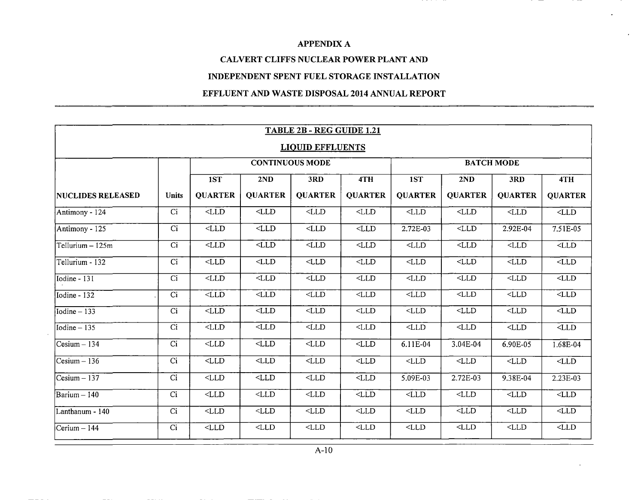### **CALVERT CLIFFS NUCLEAR POWER PLANT AND**

#### **INDEPENDENT SPENT FUEL STORAGE INSTALLATION**

### **EFFLUENT AND WASTE DISPOSAL 2014 ANNUAL REPORT**

|                                  |                         |                          |                          | TABLE 2B - REG GUIDE 1.21 |                         |                          |                         |                   |                         |
|----------------------------------|-------------------------|--------------------------|--------------------------|---------------------------|-------------------------|--------------------------|-------------------------|-------------------|-------------------------|
|                                  | <b>LIQUID EFFLUENTS</b> |                          |                          |                           |                         |                          |                         |                   |                         |
|                                  |                         |                          |                          | <b>CONTINUOUS MODE</b>    |                         |                          |                         | <b>BATCH MODE</b> |                         |
|                                  |                         | 1ST                      | 2ND                      | 3RD                       | 4TH                     | 1ST                      | 2ND                     | 3RD               | 4TH                     |
| <b>NUCLIDES RELEASED</b>         | <b>Units</b>            | <b>QUARTER</b>           | <b>QUARTER</b>           | <b>QUARTER</b>            | <b>QUARTER</b>          | <b>QUARTER</b>           | <b>QUARTER</b>          | <b>QUARTER</b>    | <b>QUARTER</b>          |
| $Antimony - 124$                 | Ci                      | $<$ LLD $\,$             | $<$ LLD                  | $<$ LLD                   | $<$ LLD                 | $<$ LLD                  | $<$ LLD                 | $<$ LLD $\,$      | $\overline{\text{SLD}}$ |
| Antimony - 125                   | Ci                      | $<$ LLD                  | $\overline{\text{CLLD}}$ | $<$ LLD                   | $<$ LLD                 | 2.72E-03                 | $<$ LLD                 | 2.92E-04          | $7.51E-05$              |
| Tellurium - 125m                 | Ci                      | $<$ LLD                  | $\overline{\text{CLD}}$  | $<$ LLD                   | $<$ LLD                 | $<$ LLD                  | $<$ LLD                 | $<$ LLD           | $-LLD$                  |
| Tellurium - 132                  | Ci                      | $<$ LLD                  | $<$ LLD                  | $<$ LLD $\,$              | $<$ LLD                 | $<$ LLD                  | $<$ LLD                 | $<$ LLD           | $\overline{\text{PLD}}$ |
| Iodine - 131                     | Ci                      | $<$ LLD                  | $<$ LLD                  | $<$ LLD                   | $\overline{\text{CLD}}$ | $<$ LLD                  | $\overline{\text{CLD}}$ | $<$ LLD           | $\overline{\text{PLD}}$ |
| Iodine - 132                     | $\overline{Ci}$         | $\overline{\text{CL}}$   | $<$ LLD                  | $<$ LLD $\,$              | $<$ LLD                 | $<$ LLD                  | $<$ LLD                 | $<$ LLD $\,$      | LLD                     |
| Iodine $-133$                    | Ci                      | $<$ LLD                  | $<$ LLD                  | $<$ LLD                   | $<$ LLD                 | $<$ LLD                  | $<$ LLD                 | $<$ LLD           | $-LLD$                  |
| Iodine $-135$                    | Ci                      | $<$ LLD                  | $<$ LLD                  | $<$ LLD                   | $<$ LLD                 | $<$ LLD $\,$             | $<$ LLD                 | $<$ LLD $\,$      | $\overline{\text{PLD}}$ |
| Cesium - 134                     | Ci                      | $<$ LLD                  | $<$ LLD $\,$             | $<$ LLD                   | $<$ LLD                 | 6.11E-04                 | 3.04E-04                | 6.90E-05          | 1.68E-04                |
| $Cesium - 136$                   | Ci                      | $<$ LLD                  | $<$ LL $\overline{D}$    | $<$ LLD                   | $<$ LLD $\,$            | $<$ LLD                  | $<$ LLD                 | $<$ LLD           | $<$ LLD                 |
| $Cesium - 137$                   | Ci                      | $<$ LLD $\,$             | $<$ LLD                  | $<$ LLD                   | $<$ LLD                 | 5.09E-03                 | 2.72E-03                | $9.38E - 04$      | 2.23E-03                |
| $\overline{\text{Barium} - 140}$ | Ci                      | $<$ LLD                  | $<$ LLD                  | $<$ LLD                   | $\overline{\text{PLD}}$ | $\overline{\text{CLID}}$ | $<$ LLD                 | $<$ LLD $\,$      | $\overline{\text{PLD}}$ |
| Lanthanum - 140                  | Ci                      | $<$ LLD                  | $<$ LLD                  | $<$ LLD $\,$              | $<$ LLD $\,$            | $<$ LLD $\,$             | $<$ LLD                 | $<$ LLD $\,$      | $<$ LLD                 |
| $Cerium - 144$                   | Ci                      | $\overline{\text{CLLD}}$ | $\overline{\text{CLLD}}$ | $<$ LLD                   | $<$ LLD                 | $<$ LLD                  | $<$ LLD                 | $<$ LLD           | LLD                     |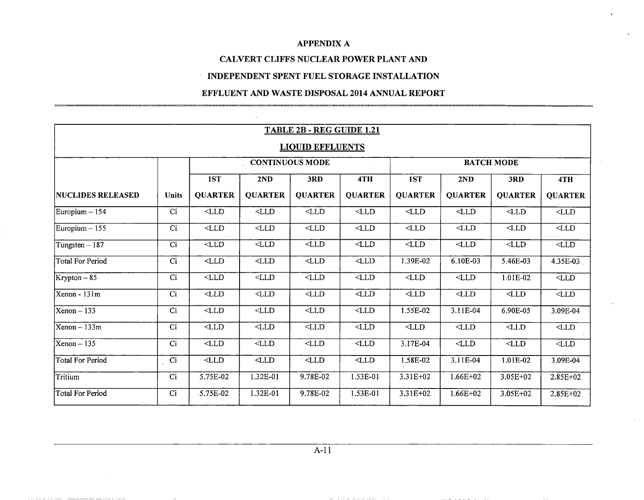### **CALVERT CLIFFS NUCLEAR POWER PLANT AND**

### **INDEPENDENT SPENT FUEL STORAGE INSTALLATION**

### **EFFLUENT AND WASTE DISPOSAL 2014 ANNUAL REPORT**

|                                    |                         |                  |                | <b>TABLE 2B - REG GUIDE 1.21</b> |                |                |                |                         |                          |
|------------------------------------|-------------------------|------------------|----------------|----------------------------------|----------------|----------------|----------------|-------------------------|--------------------------|
|                                    | <b>LIQUID EFFLUENTS</b> |                  |                |                                  |                |                |                |                         |                          |
|                                    |                         |                  |                | <b>CONTINUOUS MODE</b>           |                |                |                | <b>BATCH MODE</b>       |                          |
|                                    |                         | 1ST              | 2ND            | 3RD                              | 4TH            | 1ST            | 2ND            | 3RD                     | 4TH                      |
| <b>NUCLIDES RELEASED</b>           | <b>Units</b>            | <b>QUARTER</b>   | <b>QUARTER</b> | <b>QUARTER</b>                   | <b>QUARTER</b> | <b>QUARTER</b> | <b>QUARTER</b> | <b>QUARTER</b>          | <b>QUARTER</b>           |
| $\text{Europium} - 154$            | Ci                      | $<$ LLD          | $<$ LLD        | $<$ LLD                          | $<$ LLD        | $<$ LLD        | $<$ LLD        | $<$ LLD                 | $<$ LLD                  |
| $\left \text{European}-155\right $ | Ci                      | $<$ LLD          | $<$ LLD        | $<$ LLD                          | $<$ LLD        | $<$ LLD        | $<$ LLD        | $<$ LLD                 | $<$ LLD                  |
| $\text{Tungsten} - 187$            | Ci                      | $\overline{LLD}$ | $<$ LLD        | $<$ LLD                          | $<$ LLD        | $<$ LD         | $<$ LLD        | $<$ LLD                 | $<$ LLD $\,$             |
| Total For Period                   | Ci                      | $<$ LLD          | $<$ LLD        | $<$ LLD                          | $<$ LLD        | 1.39E-02       | 6.10E-03       | 5.46E-03                | 4.35E-03                 |
| $Krypton-85$                       | Ci                      | $<$ LLD          | $<$ LLD        | $<$ LLD                          | $<$ LLD $\,$   | $<$ LLD        | $<$ LLD        | 1.01E-02                | $\overline{\text{PLD}}$  |
| $\overline{\text{Xenon}}$ - 131m   | Ci                      | $<$ LLD          | $<$ LLD        | $<$ LLD                          | $<$ LLD        | $<$ LLD        | $<$ LLD        | $\overline{\text{CLD}}$ | $<$ LLD                  |
| $Xenon - 133$                      | Ci                      | $<$ LLD          | $<$ LLD        | $<$ LLD                          | $<$ LLD        | 1.55E-02       | 3.11E-04       | 6.90E-05                | 3.09E-04                 |
| $Xenon - 133m$                     | Ci                      | $<$ LLD          | $<$ LLD        | $<$ LLD                          | $<$ LLD        | $<$ LLD        | $<$ LLD        | $<$ LLD                 | $\overline{\text{CLLD}}$ |
| $Xenon - 135$                      | Ci                      | $<$ LLD $\,$     | $<$ LLD        | $<$ LLD                          | $<$ LLD        | 3.17E-04       | $<$ LLD        | $<$ LLD                 | $<$ LLD $\,$             |
| <b>Total For Period</b>            | Ci                      | $<$ LLD          | $<$ LLD        | $<$ LLD                          | $<$ LLD        | 1.58E-02       | 3.11E-04       | 1.01E-02                | 3.09E-04                 |
| Tritium                            | Ci                      | 5.75E-02         | 1.32E-01       | 9.78E-02                         | 1.53E-01       | 3.31E+02       | $1.66E + 02$   | 3.05E+02                | $2.85E+02$               |
| Total For Period                   | Ci                      | 5.75E-02         | 1.32E-01       | 9.78E-02                         | 1.53E-01       | 3.31E+02       | $1.66E + 02$   | 3.05E+02                | $2.85E+02$               |

the second contract of the second second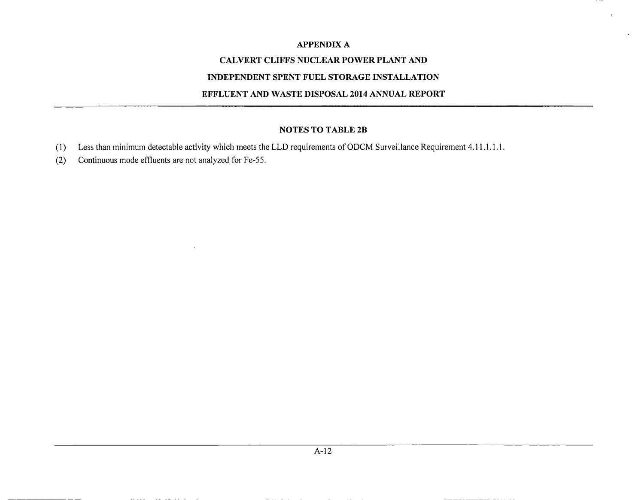### **CALVERT CLIFFS NUCLEAR POWER PLANT AND**

### **INDEPENDENT SPENT FUEL STORAGE INSTALLATION**

#### **EFFLUENT AND WASTE DISPOSAL 2014 ANNUAL REPORT**

### **NOTES TO TABLE 2B**

- (1) Less than minimum detectable activity which meets the LLD requirements of ODCM Surveillance Requirement 4.11 .1 .1.1.
- (2) Continuous mode effluents are not analyzed for Fe-55.

**Sales State**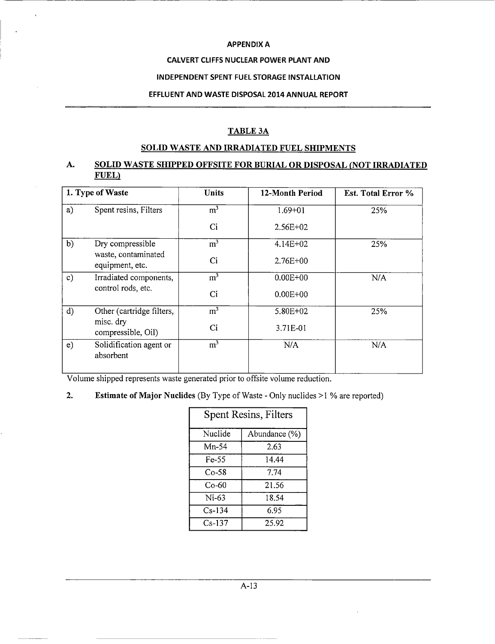#### **CALVERT CLIFFS NUCLEAR POWER PLANT AND**

#### **INDEPENDENT SPENT FUEL STORAGE INSTALLATION**

#### **EFFLUENT AND WASTE DISPOSAL 2014 ANNUAL REPORT**

### **TABLE 3A**

# **SOLID WASTE AND IRRADIATED FUEL SHIPMENTS**

### **A. SOLID WASTE SHIPPED OFFSITE FOR BURIAL OR DISPOSAL (NOT IRRADIATED FUEL)•**

|    | 1. Type of Waste                       | Units            | 12-Month Period | Est. Total Error % |
|----|----------------------------------------|------------------|-----------------|--------------------|
| a) | Spent resins, Filters                  | m <sup>3</sup>   | $1.69 + 01$     | 25%                |
|    |                                        | Ci               | $2.56E+02$      |                    |
| b) | Dry compressible                       | m <sup>3</sup>   | $4.14E + 02$    | 25%                |
|    | waste, contaminated<br>equipment, etc. | Ci               | $2.76E + 00$    |                    |
| c) | Irradiated components,                 | $\overline{m^3}$ | $0.00E + 00$    | N/A                |
|    | control rods, etc.                     | Ci               | $0.00E + 00$    |                    |
| d) | Other (cartridge filters,              | m <sup>3</sup>   | $5.80E + 02$    | 25%                |
|    | misc. dry<br>compressible, Oil)        | Ci               | 3.71E-01        |                    |
| e) | Solidification agent or<br>absorbent   | $\overline{m^3}$ | N/A             | N/A                |

Volume shipped represents waste generated prior to offsite volume reduction.

### 2. Estimate **of Major** Nuclides (By Type of Waste - Only nuclides >1 % are reported)

| Spent Resins, Filters |               |  |  |  |  |
|-----------------------|---------------|--|--|--|--|
| Nuclide               | Abundance (%) |  |  |  |  |
| Mn-54                 | 2.63          |  |  |  |  |
| Fe-55                 | 14.44         |  |  |  |  |
| $Co-58$               | 7.74          |  |  |  |  |
| Co-60                 | 21.56         |  |  |  |  |
| Ni-63                 | 18.54         |  |  |  |  |
| $Cs-134$              | 6.95          |  |  |  |  |
| $Cs-137$              | 25.92         |  |  |  |  |

A-13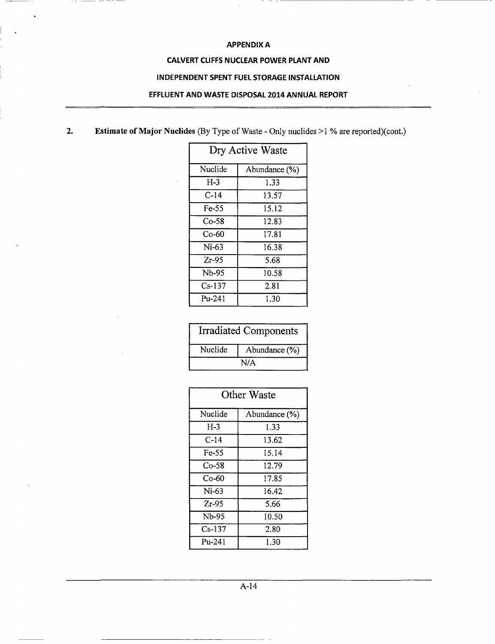-- -- -- -

#### **CALVERT CLIFFS NUCLEAR POWER PLANT AND**

#### **INDEPENDENT SPENT FUEL STORAGE INSTALLATION**

#### **EFFLUENT AND WASTE DISPOSAL 2014 ANNUAL REPORT**

**2. Estimate of Major Nuclides** (By Type of Waste - Only nuclides >1 **% are reported)(cont.)**

| Dry Active Waste |               |  |  |  |  |
|------------------|---------------|--|--|--|--|
| Nuclide          | Abundance (%) |  |  |  |  |
| $H-3$            | 1.33          |  |  |  |  |
| C-14             | 13.57         |  |  |  |  |
| Fe-55            | 15.12         |  |  |  |  |
| Co-58            | 12.83         |  |  |  |  |
| Co-60            | 17.81         |  |  |  |  |
| $Ni-63$          | 16.38         |  |  |  |  |
| $Zr-95$          | 5.68          |  |  |  |  |
| Nb-95            | 10.58         |  |  |  |  |
| $Cs-137$         | 2.81          |  |  |  |  |
| $P_{11} - 241$   | 1.30          |  |  |  |  |

|         | <b>Irradiated Components</b> |  |  |  |  |  |
|---------|------------------------------|--|--|--|--|--|
| Nuclide | Abundance (%)                |  |  |  |  |  |
| N/A     |                              |  |  |  |  |  |

| Other Waste    |               |  |
|----------------|---------------|--|
| Nuclide        | Abundance (%) |  |
| $H-3$          | 1.33          |  |
| $C-14$         | 13.62         |  |
| Fe-55          | 15.14         |  |
| Co-58          | 12.79         |  |
| Co-60          | 17.85         |  |
| $Ni-63$        | 16.42         |  |
| $Zr-95$        | 5.66          |  |
| Nb-95          | 10.50         |  |
| $Cs-137$       | 2.80          |  |
| $P_{11} - 241$ | 1.30          |  |

A-14